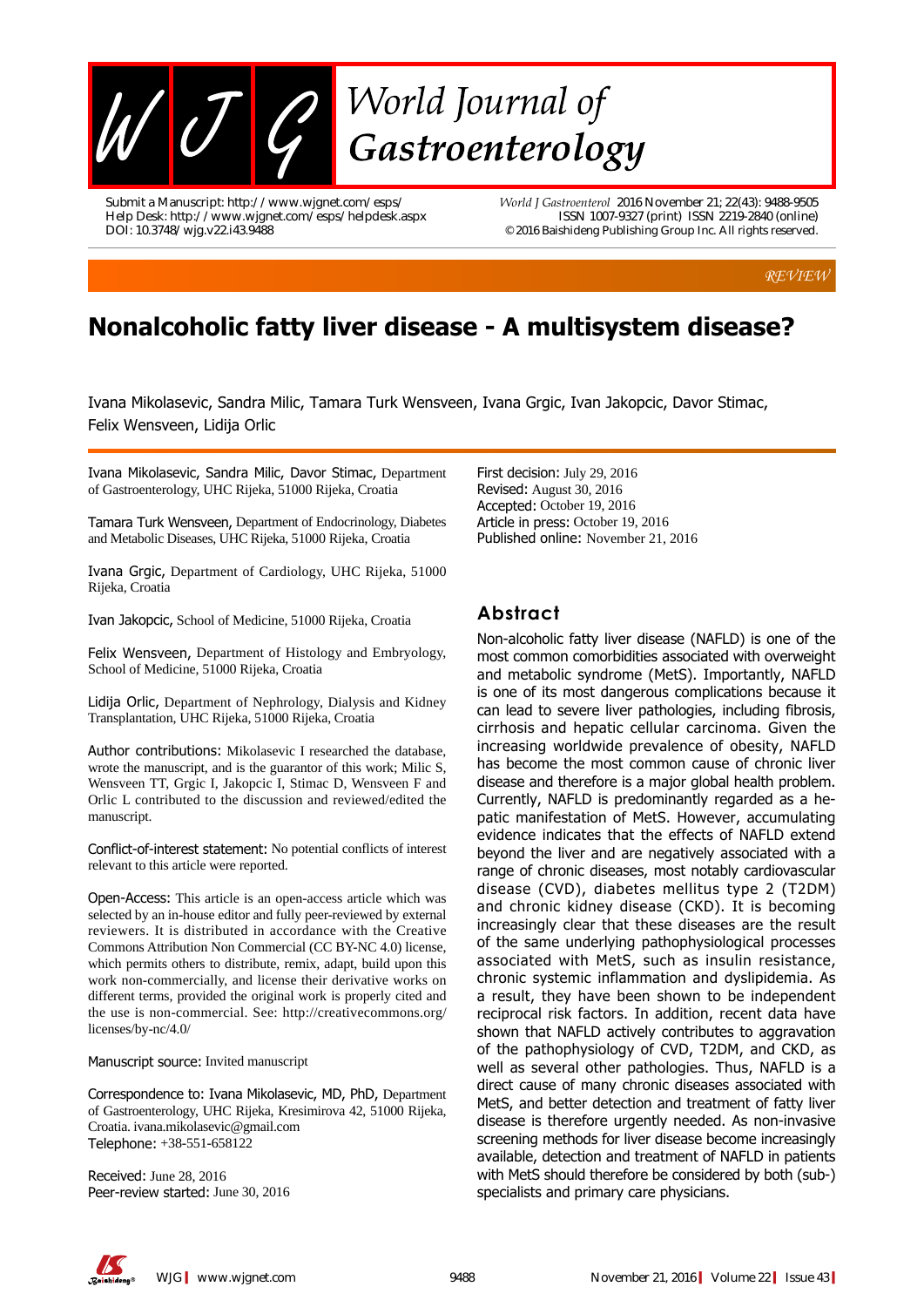

Submit a Manuscript: http://www.wjgnet.com/esps/ Help Desk: http://www.wjgnet.com/esps/helpdesk.aspx DOI: 10.3748/wjg.v22.i43.9488

*World J Gastroenterol* 2016 November 21; 22(43): 9488-9505 ISSN 1007-9327 (print) ISSN 2219-2840 (online) © 2016 Baishideng Publishing Group Inc. All rights reserved.

*REVIEW*

# **Nonalcoholic fatty liver disease - A multisystem disease?**

Ivana Mikolasevic, Sandra Milic, Tamara Turk Wensveen, Ivana Grgic, Ivan Jakopcic, Davor Stimac, Felix Wensveen, Lidija Orlic

Ivana Mikolasevic, Sandra Milic, Davor Stimac, Department of Gastroenterology, UHC Rijeka, 51000 Rijeka, Croatia

Tamara Turk Wensveen, Department of Endocrinology, Diabetes and Metabolic Diseases, UHC Rijeka, 51000 Rijeka, Croatia

Ivana Grgic, Department of Cardiology, UHC Rijeka, 51000 Rijeka, Croatia

Ivan Jakopcic, School of Medicine, 51000 Rijeka, Croatia

Felix Wensveen, Department of Histology and Embryology, School of Medicine, 51000 Rijeka, Croatia

Lidija Orlic, Department of Nephrology, Dialysis and Kidney Transplantation, UHC Rijeka, 51000 Rijeka, Croatia

Author contributions: Mikolasevic I researched the database, wrote the manuscript, and is the guarantor of this work; Milic S, Wensveen TT, Grgic I, Jakopcic I, Stimac D, Wensveen F and Orlic L contributed to the discussion and reviewed/edited the manuscript.

Conflict-of-interest statement: No potential conflicts of interest relevant to this article were reported.

Open-Access: This article is an open-access article which was selected by an in-house editor and fully peer-reviewed by external reviewers. It is distributed in accordance with the Creative Commons Attribution Non Commercial (CC BY-NC 4.0) license, which permits others to distribute, remix, adapt, build upon this work non-commercially, and license their derivative works on different terms, provided the original work is properly cited and the use is non-commercial. See: http://creativecommons.org/ licenses/by-nc/4.0/

Manuscript source: Invited manuscript

Correspondence to: Ivana Mikolasevic, MD, PhD, Department of Gastroenterology, UHC Rijeka, Kresimirova 42, 51000 Rijeka, Croatia. ivana.mikolasevic@gmail.com Telephone: +38-551-658122

Received: June 28, 2016 Peer-review started: June 30, 2016

First decision: July 29, 2016 Revised: August 30, 2016 Accepted: October 19, 2016 Article in press: October 19, 2016 Published online: November 21, 2016

### **Abstract**

Non-alcoholic fatty liver disease (NAFLD) is one of the most common comorbidities associated with overweight and metabolic syndrome (MetS). Importantly, NAFLD is one of its most dangerous complications because it can lead to severe liver pathologies, including fibrosis, cirrhosis and hepatic cellular carcinoma. Given the increasing worldwide prevalence of obesity, NAFLD has become the most common cause of chronic liver disease and therefore is a major global health problem. Currently, NAFLD is predominantly regarded as a hepatic manifestation of MetS. However, accumulating evidence indicates that the effects of NAFLD extend beyond the liver and are negatively associated with a range of chronic diseases, most notably cardiovascular disease (CVD), diabetes mellitus type 2 (T2DM) and chronic kidney disease (CKD). It is becoming increasingly clear that these diseases are the result of the same underlying pathophysiological processes associated with MetS, such as insulin resistance, chronic systemic inflammation and dyslipidemia. As a result, they have been shown to be independent reciprocal risk factors. In addition, recent data have shown that NAFLD actively contributes to aggravation of the pathophysiology of CVD, T2DM, and CKD, as well as several other pathologies. Thus, NAFLD is a direct cause of many chronic diseases associated with MetS, and better detection and treatment of fatty liver disease is therefore urgently needed. As non-invasive screening methods for liver disease become increasingly available, detection and treatment of NAFLD in patients with MetS should therefore be considered by both (sub-) specialists and primary care physicians.

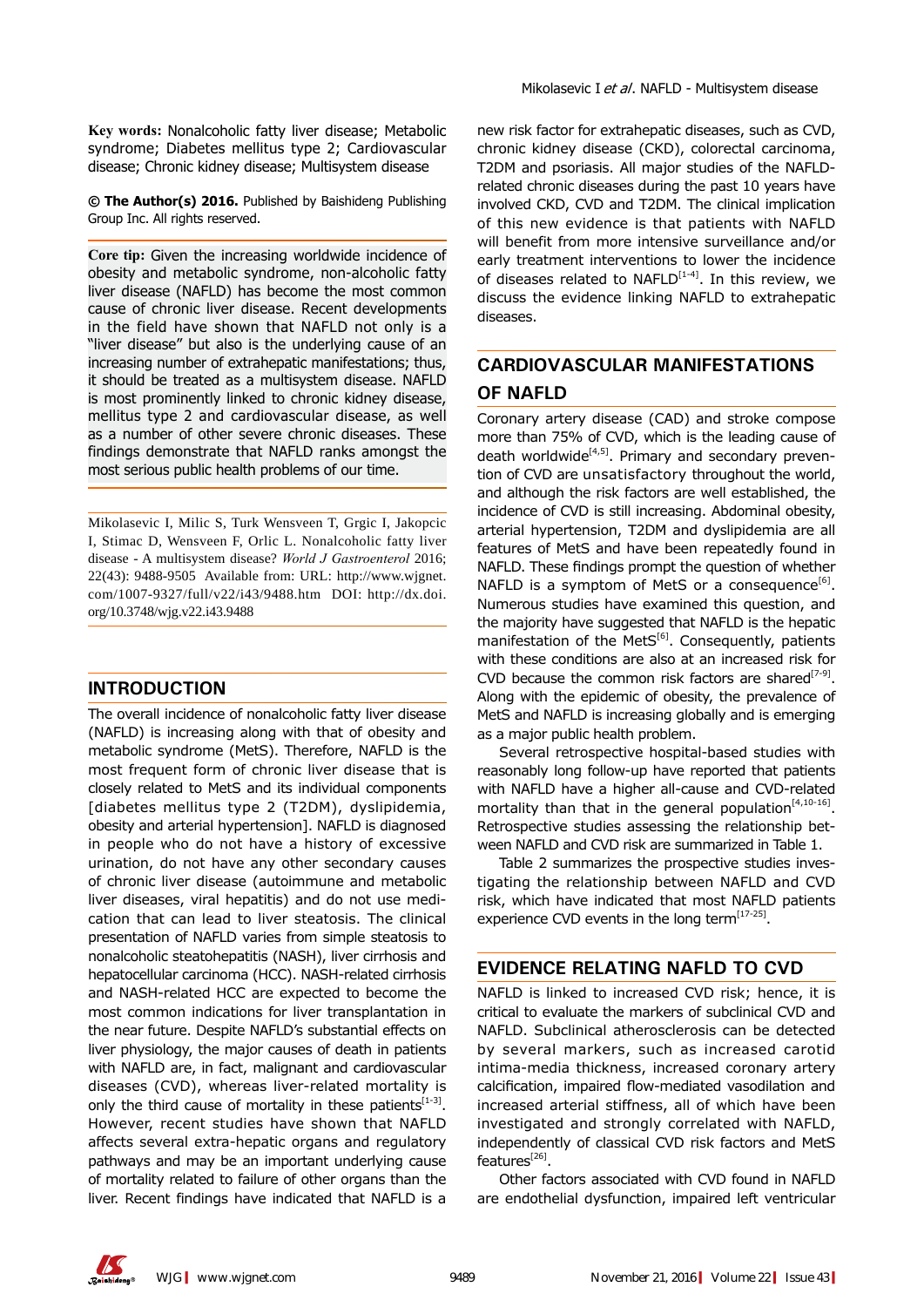**Key words:** Nonalcoholic fatty liver disease; Metabolic syndrome; Diabetes mellitus type 2; Cardiovascular disease; Chronic kidney disease; Multisystem disease

**© The Author(s) 2016.** Published by Baishideng Publishing Group Inc. All rights reserved.

**Core tip:** Given the increasing worldwide incidence of obesity and metabolic syndrome, non-alcoholic fatty liver disease (NAFLD) has become the most common cause of chronic liver disease. Recent developments in the field have shown that NAFLD not only is a "liver disease" but also is the underlying cause of an increasing number of extrahepatic manifestations; thus, it should be treated as a multisystem disease. NAFLD is most prominently linked to chronic kidney disease, mellitus type 2 and cardiovascular disease, as well as a number of other severe chronic diseases. These findings demonstrate that NAFLD ranks amongst the most serious public health problems of our time.

Mikolasevic I, Milic S, Turk Wensveen T, Grgic I, Jakopcic I, Stimac D, Wensveen F, Orlic L. Nonalcoholic fatty liver disease - A multisystem disease? *World J Gastroenterol* 2016; 22(43): 9488-9505 Available from: URL: http://www.wjgnet. com/1007-9327/full/v22/i43/9488.htm DOI: http://dx.doi. org/10.3748/wjg.v22.i43.9488

#### **INTRODUCTION**

The overall incidence of nonalcoholic fatty liver disease (NAFLD) is increasing along with that of obesity and metabolic syndrome (MetS). Therefore, NAFLD is the most frequent form of chronic liver disease that is closely related to MetS and its individual components [diabetes mellitus type 2 (T2DM), dyslipidemia, obesity and arterial hypertension]. NAFLD is diagnosed in people who do not have a history of excessive urination, do not have any other secondary causes of chronic liver disease (autoimmune and metabolic liver diseases, viral hepatitis) and do not use medication that can lead to liver steatosis. The clinical presentation of NAFLD varies from simple steatosis to nonalcoholic steatohepatitis (NASH), liver cirrhosis and hepatocellular carcinoma (HCC). NASH-related cirrhosis and NASH-related HCC are expected to become the most common indications for liver transplantation in the near future. Despite NAFLD's substantial effects on liver physiology, the major causes of death in patients with NAFLD are, in fact, malignant and cardiovascular diseases (CVD), whereas liver-related mortality is only the third cause of mortality in these patients $[1-3]$ . However, recent studies have shown that NAFLD affects several extra-hepatic organs and regulatory pathways and may be an important underlying cause of mortality related to failure of other organs than the liver. Recent findings have indicated that NAFLD is a

new risk factor for extrahepatic diseases, such as CVD, chronic kidney disease (CKD), colorectal carcinoma, T2DM and psoriasis. All major studies of the NAFLDrelated chronic diseases during the past 10 years have involved CKD, CVD and T2DM. The clinical implication of this new evidence is that patients with NAFLD will benefit from more intensive surveillance and/or early treatment interventions to lower the incidence of diseases related to NAFL $D^{[1-4]}$ . In this review, we discuss the evidence linking NAFLD to extrahepatic diseases.

## **CARDIOVASCULAR MANIFESTATIONS OF NAFLD**

Coronary artery disease (CAD) and stroke compose more than 75% of CVD, which is the leading cause of death worldwide $[4,5]$ . Primary and secondary prevention of CVD are unsatisfactory throughout the world, and although the risk factors are well established, the incidence of CVD is still increasing. Abdominal obesity, arterial hypertension, T2DM and dyslipidemia are all features of MetS and have been repeatedly found in NAFLD. These findings prompt the question of whether NAFLD is a symptom of MetS or a consequence<sup>[6]</sup>. Numerous studies have examined this question, and the majority have suggested that NAFLD is the hepatic manifestation of the Met $S^{[6]}$ . Consequently, patients with these conditions are also at an increased risk for CVD because the common risk factors are shared<sup>[7-9]</sup>. Along with the epidemic of obesity, the prevalence of MetS and NAFLD is increasing globally and is emerging as a major public health problem.

Several retrospective hospital-based studies with reasonably long follow-up have reported that patients with NAFLD have a higher all-cause and CVD-related mortality than that in the general population $[4,10-16]$ . Retrospective studies assessing the relationship between NAFLD and CVD risk are summarized in Table 1.

Table 2 summarizes the prospective studies investigating the relationship between NAFLD and CVD risk, which have indicated that most NAFLD patients experience CVD events in the long term $^{[17-25]}$ .

#### **EVIDENCE RELATING NAFLD TO CVD**

NAFLD is linked to increased CVD risk; hence, it is critical to evaluate the markers of subclinical CVD and NAFLD. Subclinical atherosclerosis can be detected by several markers, such as increased carotid intima-media thickness, increased coronary artery calcification, impaired flow-mediated vasodilation and increased arterial stiffness, all of which have been investigated and strongly correlated with NAFLD, independently of classical CVD risk factors and MetS  $features<sup>[26]</sup>$ .

Other factors associated with CVD found in NAFLD are endothelial dysfunction, impaired left ventricular

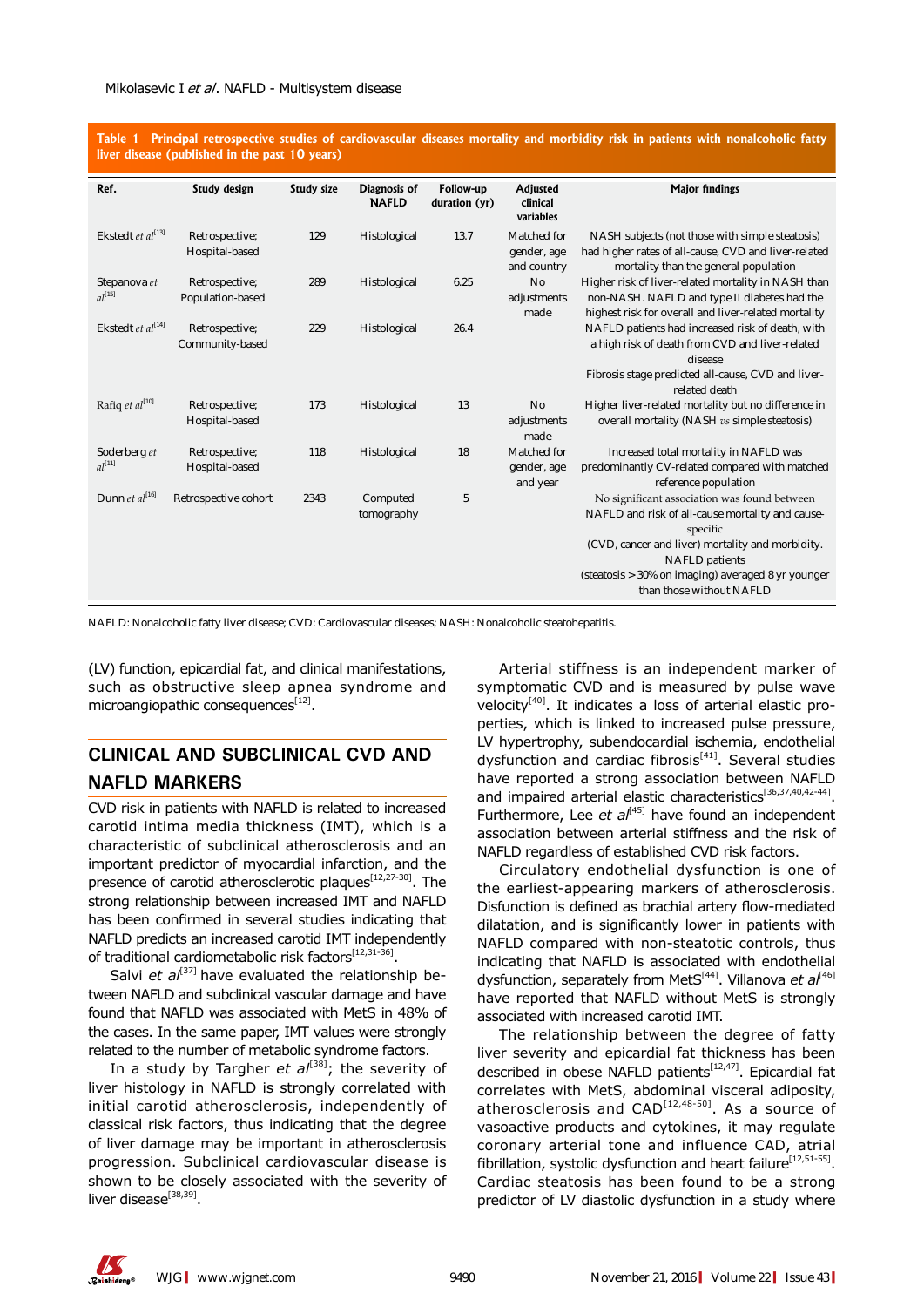**Table 1 Principal retrospective studies of cardiovascular diseases mortality and morbidity risk in patients with nonalcoholic fatty liver disease (published in the past 10 years)**

| Ref.                          | <b>Study design</b>  | <b>Study size</b> | Diagnosis of | Follow-up     | Adjusted                   | <b>Major findings</b>                                                                         |
|-------------------------------|----------------------|-------------------|--------------|---------------|----------------------------|-----------------------------------------------------------------------------------------------|
|                               |                      |                   | <b>NAFLD</b> | duration (yr) | clinical                   |                                                                                               |
|                               |                      |                   |              |               | variables                  |                                                                                               |
| Ekstedt et al <sup>[13]</sup> | Retrospective;       | 129               | Histological | 13.7          | Matched for                | NASH subjects (not those with simple steatosis)                                               |
|                               | Hospital-based       |                   |              |               | gender, age<br>and country | had higher rates of all-cause, CVD and liver-related<br>mortality than the general population |
| Stepanova et                  | Retrospective;       | 289               | Histological | 6.25          | No                         | Higher risk of liver-related mortality in NASH than                                           |
| $dl^{[15]}$                   | Population-based     |                   |              |               | adjustments                | non-NASH. NAFLD and type II diabetes had the                                                  |
|                               |                      |                   |              |               | made                       | highest risk for overall and liver-related mortality                                          |
| Ekstedt et $al^{[14]}$        | Retrospective;       | 229               | Histological | 26.4          |                            | NAFLD patients had increased risk of death, with                                              |
|                               | Community-based      |                   |              |               |                            | a high risk of death from CVD and liver-related                                               |
|                               |                      |                   |              |               |                            | disease                                                                                       |
|                               |                      |                   |              |               |                            | Fibrosis stage predicted all-cause, CVD and liver-                                            |
|                               |                      |                   |              |               |                            | related death                                                                                 |
| Rafiq et al <sup>[10]</sup>   | Retrospective;       | 173               | Histological | 13            | No                         | Higher liver-related mortality but no difference in                                           |
|                               | Hospital-based       |                   |              |               | adjustments                | overall mortality (NASH vs simple steatosis)                                                  |
|                               |                      |                   |              |               | made                       |                                                                                               |
| Soderberg et                  | Retrospective;       | 118               | Histological | 18            | Matched for                | Increased total mortality in NAFLD was                                                        |
| $al^{[11]}$                   | Hospital-based       |                   |              |               | gender, age                | predominantly CV-related compared with matched                                                |
|                               |                      |                   |              |               | and year                   | reference population                                                                          |
| Dunn et al <sup>[16]</sup>    | Retrospective cohort | 2343              | Computed     | 5             |                            | No significant association was found between                                                  |
|                               |                      |                   | tomography   |               |                            | NAFLD and risk of all-cause mortality and cause-                                              |
|                               |                      |                   |              |               |                            | specific                                                                                      |
|                               |                      |                   |              |               |                            | (CVD, cancer and liver) mortality and morbidity.                                              |
|                               |                      |                   |              |               |                            | <b>NAFLD</b> patients                                                                         |
|                               |                      |                   |              |               |                            | (steatosis > 30% on imaging) averaged 8 yr younger                                            |
|                               |                      |                   |              |               |                            | than those without NAFLD                                                                      |

NAFLD: Nonalcoholic fatty liver disease; CVD: Cardiovascular diseases; NASH: Nonalcoholic steatohepatitis.

(LV) function, epicardial fat, and clinical manifestations, such as obstructive sleep apnea syndrome and microangiopathic consequences $^{[12]}$ .

### **CLINICAL AND SUBCLINICAL CVD AND NAFLD MARKERS**

CVD risk in patients with NAFLD is related to increased carotid intima media thickness (IMT), which is a characteristic of subclinical atherosclerosis and an important predictor of myocardial infarction, and the presence of carotid atherosclerotic plaques $[12,27-30]$ . The strong relationship between increased IMT and NAFLD has been confirmed in several studies indicating that NAFLD predicts an increased carotid IMT independently of traditional cardiometabolic risk factors[12,31-36].

Salvi *et al*<sup>[37]</sup> have evaluated the relationship between NAFLD and subclinical vascular damage and have found that NAFLD was associated with MetS in 48% of the cases. In the same paper, IMT values were strongly related to the number of metabolic syndrome factors.

In a study by Targher *et al*<sup>[38]</sup>; the severity of liver histology in NAFLD is strongly correlated with initial carotid atherosclerosis, independently of classical risk factors, thus indicating that the degree of liver damage may be important in atherosclerosis progression. Subclinical cardiovascular disease is shown to be closely associated with the severity of liver disease $^{[38,39]}$ .

Arterial stiffness is an independent marker of symptomatic CVD and is measured by pulse wave velocity $[40]$ . It indicates a loss of arterial elastic properties, which is linked to increased pulse pressure, LV hypertrophy, subendocardial ischemia, endothelial dysfunction and cardiac fibrosis $[41]$ . Several studies have reported a strong association between NAFLD and impaired arterial elastic characteristics[36,37,40,42-44]. Furthermore, Lee *et al*<sup>(45)</sup> have found an independent association between arterial stiffness and the risk of NAFLD regardless of established CVD risk factors.

Circulatory endothelial dysfunction is one of the earliest-appearing markers of atherosclerosis. Disfunction is defined as brachial artery flow-mediated dilatation, and is significantly lower in patients with NAFLD compared with non-steatotic controls, thus indicating that NAFLD is associated with endothelial dysfunction, separately from MetS<sup>[44]</sup>. Villanova et al<sup>[46]</sup> have reported that NAFLD without MetS is strongly associated with increased carotid IMT.

The relationship between the degree of fatty liver severity and epicardial fat thickness has been described in obese NAFLD patients<sup>[12,47]</sup>. Epicardial fat correlates with MetS, abdominal visceral adiposity, atherosclerosis and  $CAD^{[12,48-50]}$ . As a source of vasoactive products and cytokines, it may regulate coronary arterial tone and influence CAD, atrial fibrillation, systolic dysfunction and heart failure $[12,51-55]$ . Cardiac steatosis has been found to be a strong predictor of LV diastolic dysfunction in a study where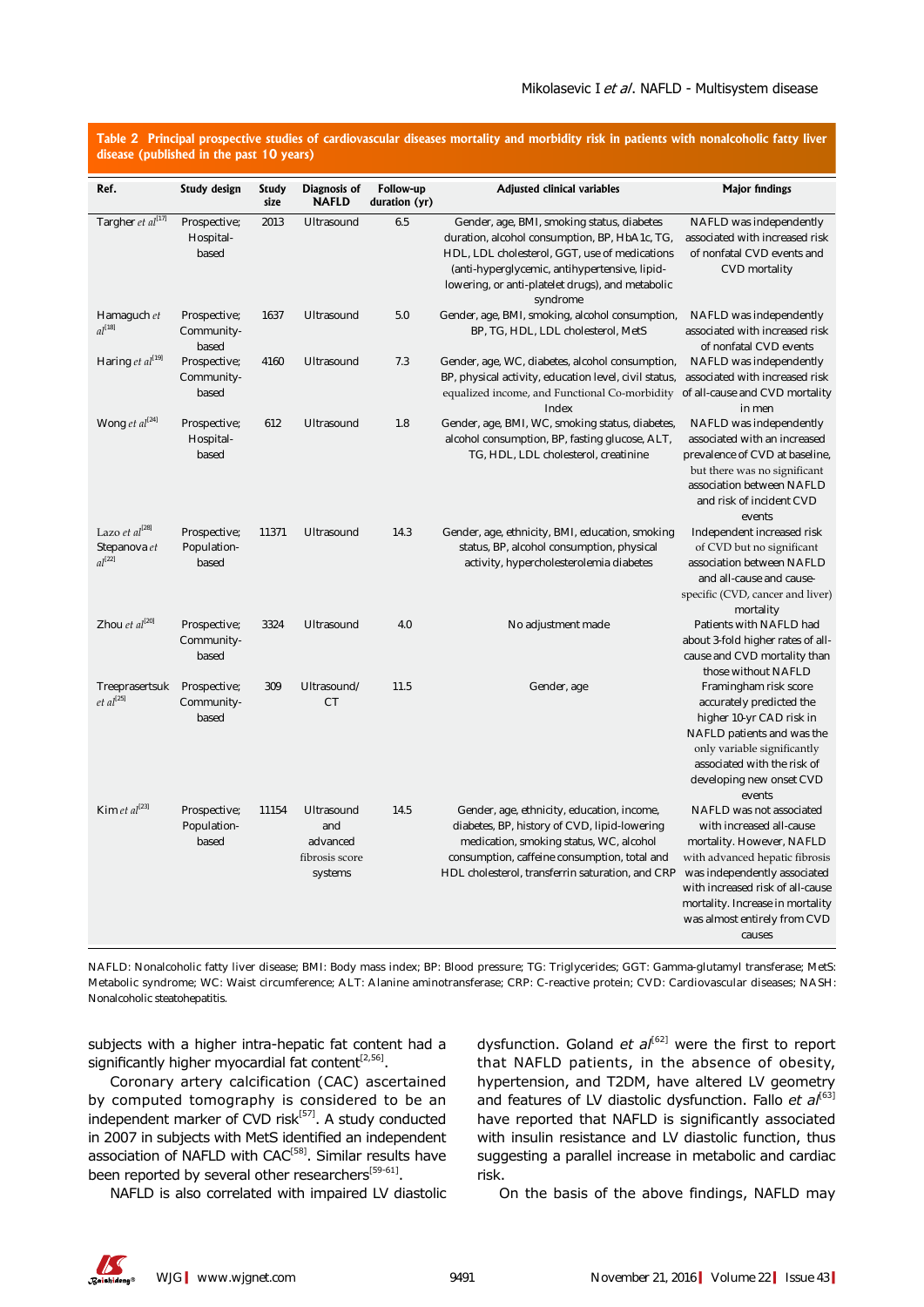#### **Table 2 Principal prospective studies of cardiovascular diseases mortality and morbidity risk in patients with nonalcoholic fatty liver disease (published in the past 10 years)**

| Ref.                                               | <b>Study design</b>                  | <b>Study</b><br>size | Diagnosis of<br><b>NAFLD</b>                               | Follow-up<br>duration (yr) | Adjusted clinical variables                                                                                                                                                                                                                                   | <b>Major findings</b>                                                                                                                                                                                                                                                 |
|----------------------------------------------------|--------------------------------------|----------------------|------------------------------------------------------------|----------------------------|---------------------------------------------------------------------------------------------------------------------------------------------------------------------------------------------------------------------------------------------------------------|-----------------------------------------------------------------------------------------------------------------------------------------------------------------------------------------------------------------------------------------------------------------------|
| Targher et al[17]                                  | Prospective;<br>Hospital-<br>based   | 2013                 | Ultrasound                                                 | 6.5                        | Gender, age, BMI, smoking status, diabetes<br>duration, alcohol consumption, BP, HbA1c, TG,<br>HDL, LDL cholesterol, GGT, use of medications<br>(anti-hyperglycemic, antihypertensive, lipid-<br>lowering, or anti-platelet drugs), and metabolic<br>syndrome | NAFLD was independently<br>associated with increased risk<br>of nonfatal CVD events and<br><b>CVD</b> mortality                                                                                                                                                       |
| Hamaguch et<br>$al^{[18]}$                         | Prospective;<br>Community-<br>based  | 1637                 | Ultrasound                                                 | 5.0                        | Gender, age, BMI, smoking, alcohol consumption,<br>BP, TG, HDL, LDL cholesterol, MetS                                                                                                                                                                         | NAFLD was independently<br>associated with increased risk<br>of nonfatal CVD events                                                                                                                                                                                   |
| Haring et al[19]                                   | Prospective;<br>Community-<br>based  | 4160                 | Ultrasound                                                 | 7.3                        | Gender, age, WC, diabetes, alcohol consumption,<br>BP, physical activity, education level, civil status,<br>equalized income, and Functional Co-morbidity of all-cause and CVD mortality<br>Index                                                             | NAFLD was independently<br>associated with increased risk<br>in men                                                                                                                                                                                                   |
| Wong et al <sup>[24]</sup>                         | Prospective;<br>Hospital-<br>based   | 612                  | Ultrasound                                                 | 1.8                        | Gender, age, BMI, WC, smoking status, diabetes,<br>alcohol consumption, BP, fasting glucose, ALT,<br>TG, HDL, LDL cholesterol, creatinine                                                                                                                     | NAFLD was independently<br>associated with an increased<br>prevalence of CVD at baseline,<br>but there was no significant<br>association between NAFLD<br>and risk of incident CVD<br>events                                                                          |
| Lazo et $al^{[28]}$<br>Stepanova et<br>$al^{[22]}$ | Prospective;<br>Population-<br>based | 11371                | Ultrasound                                                 | 14.3                       | Gender, age, ethnicity, BMI, education, smoking<br>status, BP, alcohol consumption, physical<br>activity, hypercholesterolemia diabetes                                                                                                                       | Independent increased risk<br>of CVD but no significant<br>association between NAFLD<br>and all-cause and cause-<br>specific (CVD, cancer and liver)<br>mortality                                                                                                     |
| Zhou et al <sup>[20]</sup>                         | Prospective;<br>Community-<br>based  | 3324                 | Ultrasound                                                 | 4.0                        | No adjustment made                                                                                                                                                                                                                                            | Patients with NAFLD had<br>about 3-fold higher rates of all-<br>cause and CVD mortality than<br>those without NAFLD                                                                                                                                                   |
| Treeprasertsuk<br>$et$ $al^{[25]}$                 | Prospective;<br>Community-<br>based  | 309                  | Ultrasound/<br><b>CT</b>                                   | 11.5                       | Gender, age                                                                                                                                                                                                                                                   | Framingham risk score<br>accurately predicted the<br>higher 10-yr CAD risk in<br>NAFLD patients and was the<br>only variable significantly<br>associated with the risk of<br>developing new onset CVD<br>events                                                       |
| Kim et al $^{[23]}$                                | Prospective;<br>Population-<br>based | 11154                | Ultrasound<br>and<br>advanced<br>fibrosis score<br>systems | 14.5                       | Gender, age, ethnicity, education, income,<br>diabetes, BP, history of CVD, lipid-lowering<br>medication, smoking status, WC, alcohol<br>consumption, caffeine consumption, total and<br>HDL cholesterol, transferrin saturation, and CRP                     | NAFLD was not associated<br>with increased all-cause<br>mortality. However, NAFLD<br>with advanced hepatic fibrosis<br>was independently associated<br>with increased risk of all-cause<br>mortality. Increase in mortality<br>was almost entirely from CVD<br>causes |

NAFLD: Nonalcoholic fatty liver disease; BMI: Body mass index; BP: Blood pressure; TG: Triglycerides; GGT: Gamma-glutamyl transferase; MetS: Metabolic syndrome; WC: Waist circumference; ALT: Alanine aminotransferase; CRP: C-reactive protein; CVD: Cardiovascular diseases; NASH: Nonalcoholic steatohepatitis.

subjects with a higher intra-hepatic fat content had a significantly higher myocardial fat content $[2,56]$ .

Coronary artery calcification (CAC) ascertained by computed tomography is considered to be an independent marker of CVD ris $k$ <sup>[57]</sup>. A study conducted in 2007 in subjects with MetS identified an independent association of NAFLD with CAC<sup>[58]</sup>. Similar results have been reported by several other researchers<sup>[59-61]</sup>.

NAFLD is also correlated with impaired LV diastolic

dysfunction. Goland et al<sup>[62]</sup> were the first to report that NAFLD patients, in the absence of obesity, hypertension, and T2DM, have altered LV geometry and features of LV diastolic dysfunction. Fallo et al<sup>[63]</sup> have reported that NAFLD is significantly associated with insulin resistance and LV diastolic function, thus suggesting a parallel increase in metabolic and cardiac risk.

On the basis of the above findings, NAFLD may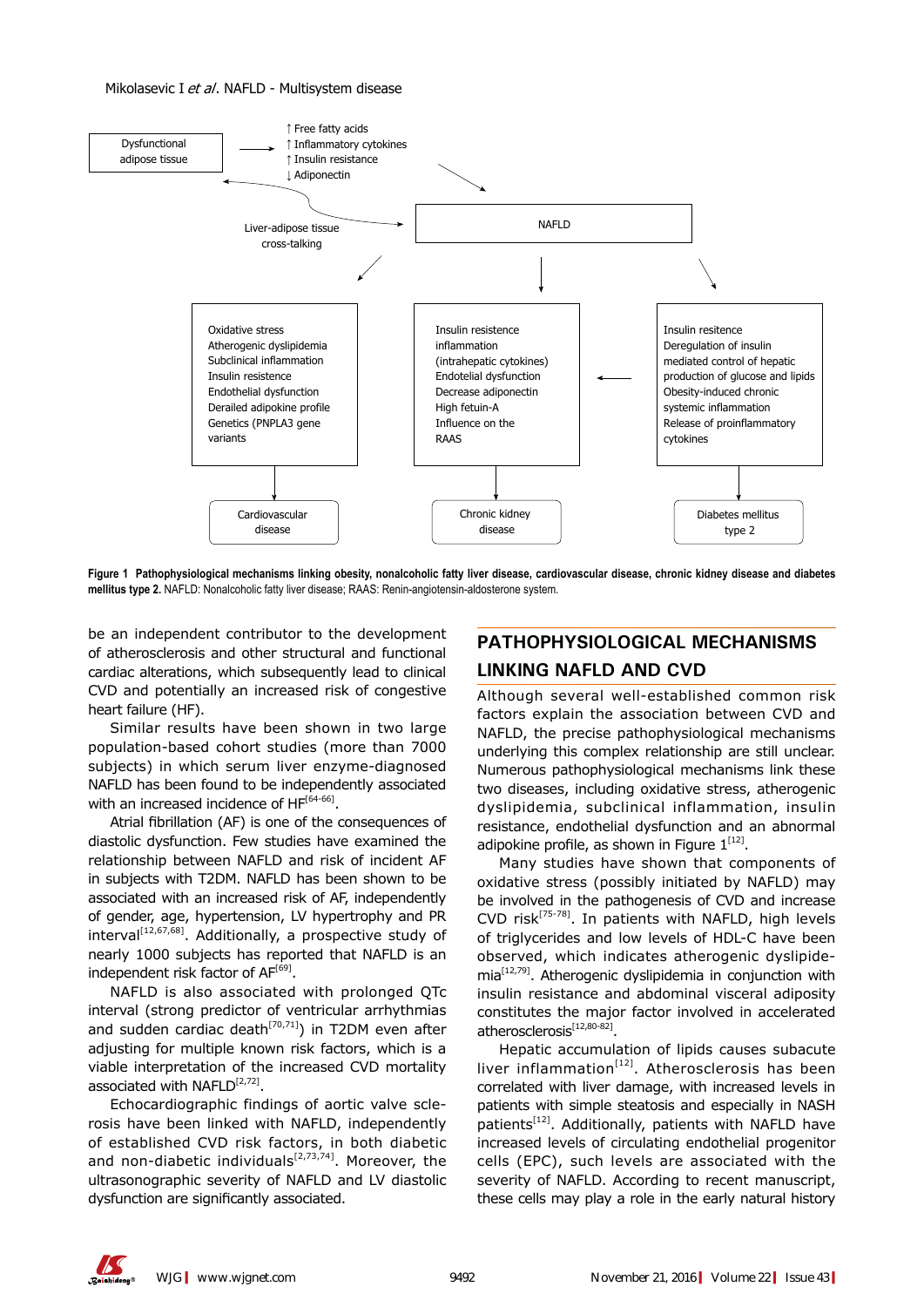#### Mikolasevic I et al. NAFLD - Multisystem disease



**Figure 1 Pathophysiological mechanisms linking obesity, nonalcoholic fatty liver disease, cardiovascular disease, chronic kidney disease and diabetes mellitus type 2.** NAFLD: Nonalcoholic fatty liver disease; RAAS: Renin-angiotensin-aldosterone system.

be an independent contributor to the development of atherosclerosis and other structural and functional cardiac alterations, which subsequently lead to clinical CVD and potentially an increased risk of congestive heart failure (HF).

Similar results have been shown in two large population-based cohort studies (more than 7000 subjects) in which serum liver enzyme-diagnosed NAFLD has been found to be independently associated with an increased incidence of HF<sup>[64-66]</sup>.

Atrial fibrillation (AF) is one of the consequences of diastolic dysfunction. Few studies have examined the relationship between NAFLD and risk of incident AF in subjects with T2DM. NAFLD has been shown to be associated with an increased risk of AF, independently of gender, age, hypertension, LV hypertrophy and PR interval<sup>[12,67,68]</sup>. Additionally, a prospective study of nearly 1000 subjects has reported that NAFLD is an independent risk factor of AF<sup>[69]</sup>.

NAFLD is also associated with prolonged QTc interval (strong predictor of ventricular arrhythmias and sudden cardiac death<sup>[70,71]</sup>) in T2DM even after adjusting for multiple known risk factors, which is a viable interpretation of the increased CVD mortality associated with NAFLD<sup>[2,72]</sup>.

Echocardiographic findings of aortic valve sclerosis have been linked with NAFLD, independently of established CVD risk factors, in both diabetic and non-diabetic individuals $[2,73,74]$ . Moreover, the ultrasonographic severity of NAFLD and LV diastolic dysfunction are significantly associated.

### **PATHOPHYSIOLOGICAL MECHANISMS LINKING NAFLD AND CVD**

Although several well-established common risk factors explain the association between CVD and NAFLD, the precise pathophysiological mechanisms underlying this complex relationship are still unclear. Numerous pathophysiological mechanisms link these two diseases, including oxidative stress, atherogenic dyslipidemia, subclinical inflammation, insulin resistance, endothelial dysfunction and an abnormal adipokine profile, as shown in Figure  $1^{[12]}$ .

Many studies have shown that components of oxidative stress (possibly initiated by NAFLD) may be involved in the pathogenesis of CVD and increase CVD risk<sup>[75-78]</sup>. In patients with NAFLD, high levels of triglycerides and low levels of HDL-C have been observed, which indicates atherogenic dyslipidemia<sup>[12,79]</sup>. Atherogenic dyslipidemia in conjunction with insulin resistance and abdominal visceral adiposity constitutes the major factor involved in accelerated atherosclerosis[12,80-82].

Hepatic accumulation of lipids causes subacute liver inflammation $[12]$ . Atherosclerosis has been correlated with liver damage, with increased levels in patients with simple steatosis and especially in NASH patients<sup>[12]</sup>. Additionally, patients with NAFLD have increased levels of circulating endothelial progenitor cells (EPC), such levels are associated with the severity of NAFLD. According to recent manuscript, these cells may play a role in the early natural history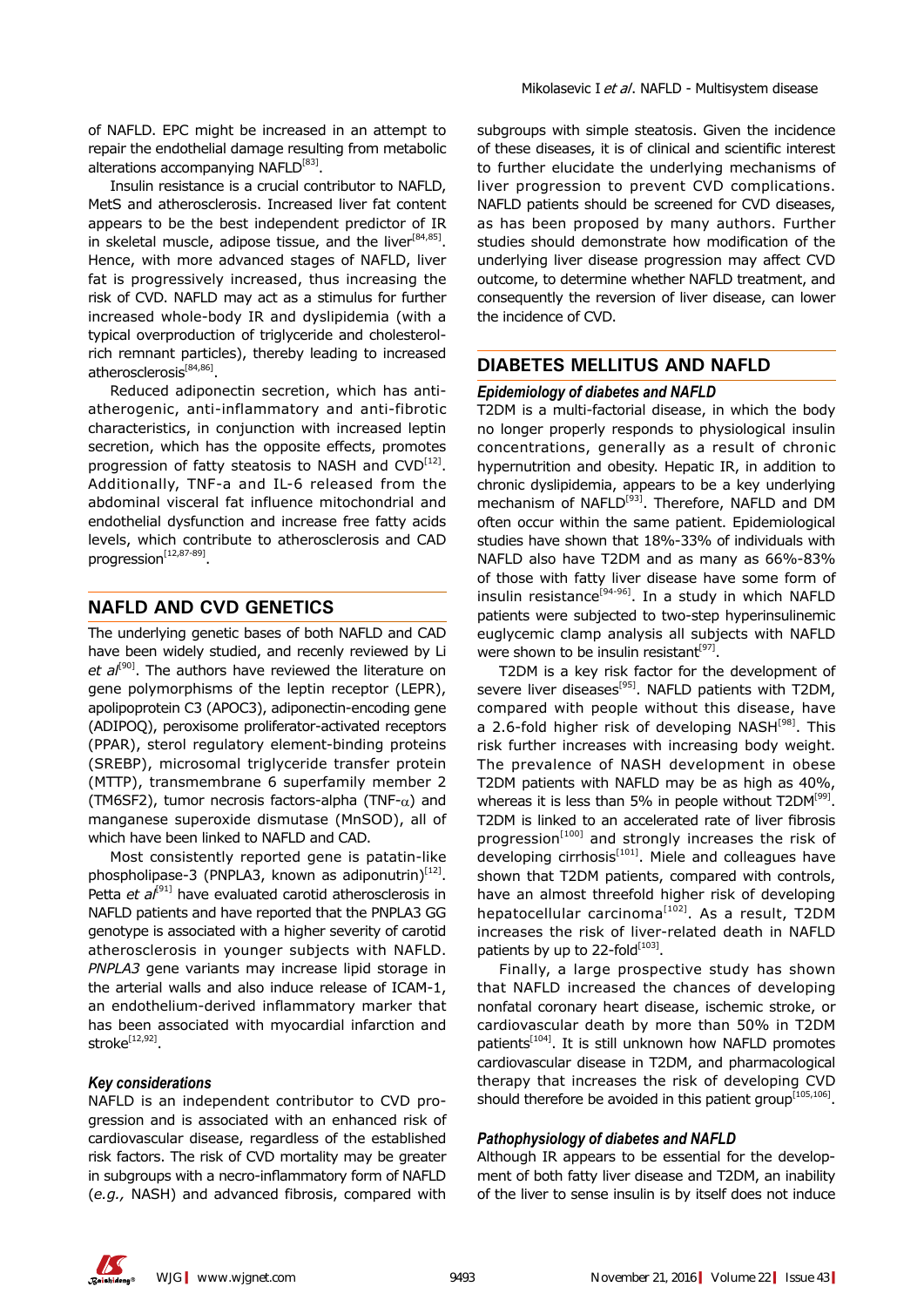of NAFLD. EPC might be increased in an attempt to repair the endothelial damage resulting from metabolic alterations accompanying NAFLD<sup>[83]</sup>.

Insulin resistance is a crucial contributor to NAFLD, MetS and atherosclerosis. Increased liver fat content appears to be the best independent predictor of IR in skeletal muscle, adipose tissue, and the liver $[84,85]$ . Hence, with more advanced stages of NAFLD, liver fat is progressively increased, thus increasing the risk of CVD. NAFLD may act as a stimulus for further increased whole-body IR and dyslipidemia (with a typical overproduction of triglyceride and cholesterolrich remnant particles), thereby leading to increased atherosclerosis<sup>[84,86]</sup>.

Reduced adiponectin secretion, which has antiatherogenic, anti-inflammatory and anti-fibrotic characteristics, in conjunction with increased leptin secretion, which has the opposite effects, promotes progression of fatty steatosis to NASH and CVD<sup>[12]</sup>. Additionally, TNF-a and IL-6 released from the abdominal visceral fat influence mitochondrial and endothelial dysfunction and increase free fatty acids levels, which contribute to atherosclerosis and CAD progression[12,87-89].

#### **NAFLD AND CVD GENETICS**

The underlying genetic bases of both NAFLD and CAD have been widely studied, and recenly reviewed by Li et al<sup>[90]</sup>. The authors have reviewed the literature on gene polymorphisms of the leptin receptor (LEPR), apolipoprotein C3 (APOC3), adiponectin-encoding gene (ADIPOQ), peroxisome proliferator-activated receptors (PPAR), sterol regulatory element-binding proteins (SREBP), microsomal triglyceride transfer protein (MTTP), transmembrane 6 superfamily member 2 (TM6SF2), tumor necrosis factors-alpha (TNF- $\alpha$ ) and manganese superoxide dismutase (MnSOD), all of which have been linked to NAFLD and CAD.

Most consistently reported gene is patatin-like phospholipase-3 (PNPLA3, known as adiponutrin) $[12]$ . Petta *et al*<sup>[91]</sup> have evaluated carotid atherosclerosis in NAFLD patients and have reported that the PNPLA3 GG genotype is associated with a higher severity of carotid atherosclerosis in younger subjects with NAFLD. *PNPLA3* gene variants may increase lipid storage in the arterial walls and also induce release of ICAM-1, an endothelium-derived inflammatory marker that has been associated with myocardial infarction and stroke<sup>[12,92]</sup>.

#### *Key considerations*

NAFLD is an independent contributor to CVD progression and is associated with an enhanced risk of cardiovascular disease, regardless of the established risk factors. The risk of CVD mortality may be greater in subgroups with a necro-inflammatory form of NAFLD (*e.g.,* NASH) and advanced fibrosis, compared with

subgroups with simple steatosis. Given the incidence of these diseases, it is of clinical and scientific interest to further elucidate the underlying mechanisms of liver progression to prevent CVD complications. NAFLD patients should be screened for CVD diseases, as has been proposed by many authors. Further studies should demonstrate how modification of the underlying liver disease progression may affect CVD outcome, to determine whether NAFLD treatment, and consequently the reversion of liver disease, can lower the incidence of CVD.

#### **DIABETES MELLITUS AND NAFLD**

#### *Epidemiology of diabetes and NAFLD*

T2DM is a multi-factorial disease, in which the body no longer properly responds to physiological insulin concentrations, generally as a result of chronic hypernutrition and obesity. Hepatic IR, in addition to chronic dyslipidemia, appears to be a key underlying mechanism of NAFLD<sup>[93]</sup>. Therefore, NAFLD and DM often occur within the same patient. Epidemiological studies have shown that 18%-33% of individuals with NAFLD also have T2DM and as many as 66%-83% of those with fatty liver disease have some form of insulin resistance<sup>[94-96]</sup>. In a study in which NAFLD patients were subjected to two-step hyperinsulinemic euglycemic clamp analysis all subjects with NAFLD were shown to be insulin resistant $[97]$ .

T2DM is a key risk factor for the development of severe liver diseases<sup>[95]</sup>. NAFLD patients with T2DM, compared with people without this disease, have a 2.6-fold higher risk of developing NASH<sup>[98]</sup>. This risk further increases with increasing body weight. The prevalence of NASH development in obese T2DM patients with NAFLD may be as high as 40%, whereas it is less than 5% in people without T2DM<sup>[99]</sup>. T2DM is linked to an accelerated rate of liver fibrosis progression<sup>[100]</sup> and strongly increases the risk of developing cirrhosis $[101]$ . Miele and colleagues have shown that T2DM patients, compared with controls, have an almost threefold higher risk of developing hepatocellular carcinoma $^{[102]}$ . As a result, T2DM increases the risk of liver-related death in NAFLD patients by up to 22-fold $^{[103]}$ .

Finally, a large prospective study has shown that NAFLD increased the chances of developing nonfatal coronary heart disease, ischemic stroke, or cardiovascular death by more than 50% in T2DM patients<sup>[104]</sup>. It is still unknown how NAFLD promotes cardiovascular disease in T2DM, and pharmacological therapy that increases the risk of developing CVD should therefore be avoided in this patient group<sup>[105,106]</sup>.

#### *Pathophysiology of diabetes and NAFLD*

Although IR appears to be essential for the development of both fatty liver disease and T2DM, an inability of the liver to sense insulin is by itself does not induce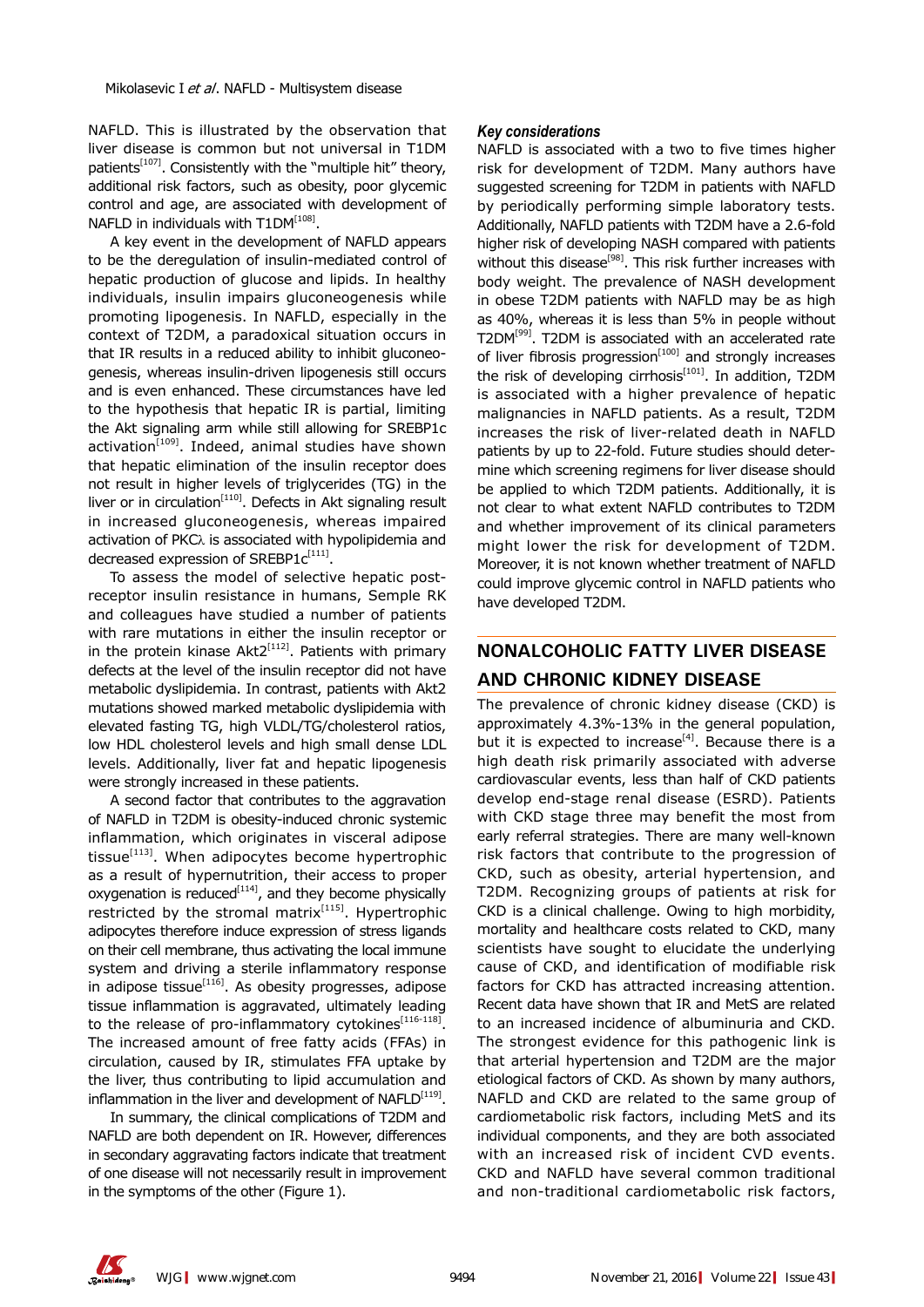NAFLD. This is illustrated by the observation that liver disease is common but not universal in T1DM patients<sup>[107]</sup>. Consistently with the "multiple hit" theory, additional risk factors, such as obesity, poor glycemic control and age, are associated with development of NAFLD in individuals with T1DM<sup>[108]</sup>.

A key event in the development of NAFLD appears to be the deregulation of insulin-mediated control of hepatic production of glucose and lipids. In healthy individuals, insulin impairs gluconeogenesis while promoting lipogenesis. In NAFLD, especially in the context of T2DM, a paradoxical situation occurs in that IR results in a reduced ability to inhibit gluconeogenesis, whereas insulin-driven lipogenesis still occurs and is even enhanced. These circumstances have led to the hypothesis that hepatic IR is partial, limiting the Akt signaling arm while still allowing for SREBP1c activation $[109]$ . Indeed, animal studies have shown that hepatic elimination of the insulin receptor does not result in higher levels of triglycerides (TG) in the liver or in circulation<sup>[110]</sup>. Defects in Akt signaling result in increased gluconeogenesis, whereas impaired activation of PKCλ is associated with hypolipidemia and decreased expression of SREBP1 $c^{[111]}$ .

To assess the model of selective hepatic postreceptor insulin resistance in humans, Semple RK and colleagues have studied a number of patients with rare mutations in either the insulin receptor or in the protein kinase  $Akt2^{[112]}$ . Patients with primary defects at the level of the insulin receptor did not have metabolic dyslipidemia. In contrast, patients with Akt2 mutations showed marked metabolic dyslipidemia with elevated fasting TG, high VLDL/TG/cholesterol ratios, low HDL cholesterol levels and high small dense LDL levels. Additionally, liver fat and hepatic lipogenesis were strongly increased in these patients.

A second factor that contributes to the aggravation of NAFLD in T2DM is obesity-induced chronic systemic inflammation, which originates in visceral adipose tissue $^{[113]}$ . When adipocytes become hypertrophic as a result of hypernutrition, their access to proper oxygenation is reduced $[114]$ , and they become physically restricted by the stromal matrix $[115]$ . Hypertrophic adipocytes therefore induce expression of stress ligands on their cell membrane, thus activating the local immune system and driving a sterile inflammatory response in adipose tissue<sup>[116]</sup>. As obesity progresses, adipose tissue inflammation is aggravated, ultimately leading to the release of pro-inflammatory cytokines<sup>[116-118]</sup>. The increased amount of free fatty acids (FFAs) in circulation, caused by IR, stimulates FFA uptake by the liver, thus contributing to lipid accumulation and inflammation in the liver and development of NAFLD<sup>[119]</sup>.

In summary, the clinical complications of T2DM and NAFLD are both dependent on IR. However, differences in secondary aggravating factors indicate that treatment of one disease will not necessarily result in improvement in the symptoms of the other (Figure 1).

#### *Key considerations*

NAFLD is associated with a two to five times higher risk for development of T2DM. Many authors have suggested screening for T2DM in patients with NAFLD by periodically performing simple laboratory tests. Additionally, NAFLD patients with T2DM have a 2.6-fold higher risk of developing NASH compared with patients without this disease<sup>[98]</sup>. This risk further increases with body weight. The prevalence of NASH development in obese T2DM patients with NAFLD may be as high as 40%, whereas it is less than 5% in people without T2DM<sup>[99]</sup>. T2DM is associated with an accelerated rate of liver fibrosis progression $[100]$  and strongly increases the risk of developing cirrhosis<sup>[101]</sup>. In addition, T2DM is associated with a higher prevalence of hepatic malignancies in NAFLD patients. As a result, T2DM increases the risk of liver-related death in NAFLD patients by up to 22-fold. Future studies should determine which screening regimens for liver disease should be applied to which T2DM patients. Additionally, it is not clear to what extent NAFLD contributes to T2DM and whether improvement of its clinical parameters might lower the risk for development of T2DM. Moreover, it is not known whether treatment of NAFLD could improve glycemic control in NAFLD patients who have developed T2DM.

### **NONALCOHOLIC FATTY LIVER DISEASE AND CHRONIC KIDNEY DISEASE**

The prevalence of chronic kidney disease (CKD) is approximately 4.3%-13% in the general population, but it is expected to increase $[4]$ . Because there is a high death risk primarily associated with adverse cardiovascular events, less than half of CKD patients develop end-stage renal disease (ESRD). Patients with CKD stage three may benefit the most from early referral strategies. There are many well-known risk factors that contribute to the progression of CKD, such as obesity, arterial hypertension, and T2DM. Recognizing groups of patients at risk for CKD is a clinical challenge. Owing to high morbidity, mortality and healthcare costs related to CKD, many scientists have sought to elucidate the underlying cause of CKD, and identification of modifiable risk factors for CKD has attracted increasing attention. Recent data have shown that IR and MetS are related to an increased incidence of albuminuria and CKD. The strongest evidence for this pathogenic link is that arterial hypertension and T2DM are the major etiological factors of CKD. As shown by many authors, NAFLD and CKD are related to the same group of cardiometabolic risk factors, including MetS and its individual components, and they are both associated with an increased risk of incident CVD events. CKD and NAFLD have several common traditional and non-traditional cardiometabolic risk factors,

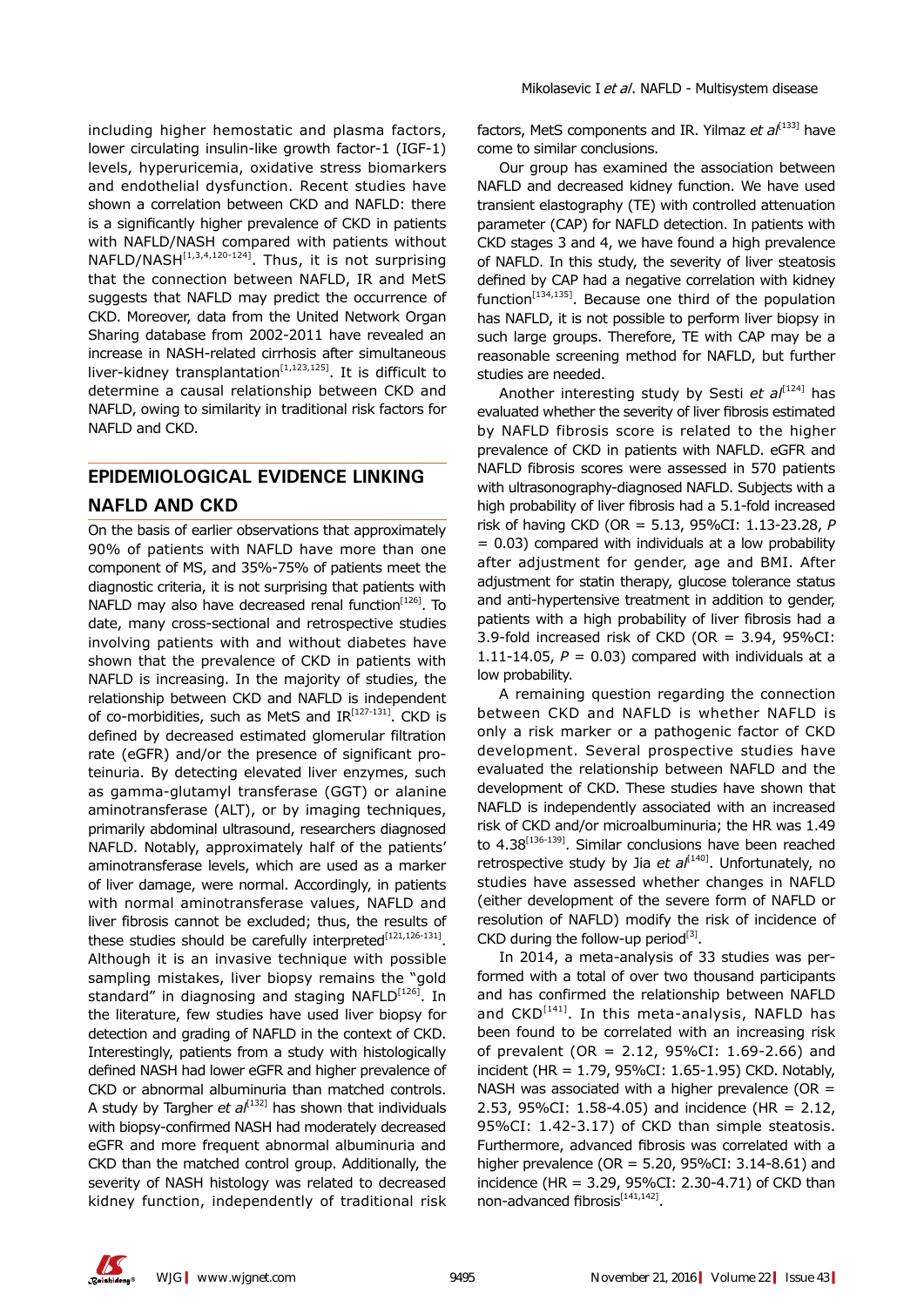including higher hemostatic and plasma factors, lower circulating insulin-like growth factor-1 (IGF-1) levels, hyperuricemia, oxidative stress biomarkers and endothelial dysfunction. Recent studies have shown a correlation between CKD and NAFLD: there is a significantly higher prevalence of CKD in patients with NAFLD/NASH compared with patients without  $NAFLD/NASH^{[1,3,4,120-124]}$ . Thus, it is not surprising that the connection between NAFLD, IR and MetS suggests that NAFLD may predict the occurrence of CKD. Moreover, data from the United Network Organ Sharing database from 2002-2011 have revealed an increase in NASH-related cirrhosis after simultaneous liver-kidney transplantation<sup>[1,123,125]</sup>. It is difficult to determine a causal relationship between CKD and NAFLD, owing to similarity in traditional risk factors for NAFLD and CKD.

## **EPIDEMIOLOGICAL EVIDENCE LINKING NAFLD AND CKD**

On the basis of earlier observations that approximately 90% of patients with NAFLD have more than one component of MS, and 35%-75% of patients meet the diagnostic criteria, it is not surprising that patients with NAFLD may also have decreased renal function<sup> $[126]$ </sup>. To date, many cross-sectional and retrospective studies involving patients with and without diabetes have shown that the prevalence of CKD in patients with NAFLD is increasing. In the majority of studies, the relationship between CKD and NAFLD is independent of co-morbidities, such as MetS and  $IR^{[127-131]}$ . CKD is defined by decreased estimated glomerular filtration rate (eGFR) and/or the presence of significant proteinuria. By detecting elevated liver enzymes, such as gamma-glutamyl transferase (GGT) or alanine aminotransferase (ALT), or by imaging techniques, primarily abdominal ultrasound, researchers diagnosed NAFLD. Notably, approximately half of the patients' aminotransferase levels, which are used as a marker of liver damage, were normal. Accordingly, in patients with normal aminotransferase values, NAFLD and liver fibrosis cannot be excluded; thus, the results of these studies should be carefully interpreted<sup>[121,126-131]</sup>. Although it is an invasive technique with possible sampling mistakes, liver biopsy remains the "gold standard" in diagnosing and staging NAFLD<sup>[126]</sup>. In the literature, few studies have used liver biopsy for detection and grading of NAFLD in the context of CKD. Interestingly, patients from a study with histologically defined NASH had lower eGFR and higher prevalence of CKD or abnormal albuminuria than matched controls. A study by Targher  $et \frac{a}{132}$  has shown that individuals with biopsy-confirmed NASH had moderately decreased eGFR and more frequent abnormal albuminuria and CKD than the matched control group. Additionally, the severity of NASH histology was related to decreased kidney function, independently of traditional risk

factors, MetS components and IR. Yilmaz et al<sup>[133]</sup> have come to similar conclusions.

Our group has examined the association between NAFLD and decreased kidney function. We have used transient elastography (TE) with controlled attenuation parameter (CAP) for NAFLD detection. In patients with CKD stages 3 and 4, we have found a high prevalence of NAFLD. In this study, the severity of liver steatosis defined by CAP had a negative correlation with kidney function $[134,135]$ . Because one third of the population has NAFLD, it is not possible to perform liver biopsy in such large groups. Therefore, TE with CAP may be a reasonable screening method for NAFLD, but further studies are needed.

Another interesting study by Sesti et al<sup>[124]</sup> has evaluated whether the severity of liver fibrosis estimated by NAFLD fibrosis score is related to the higher prevalence of CKD in patients with NAFLD. eGFR and NAFLD fibrosis scores were assessed in 570 patients with ultrasonography-diagnosed NAFLD. Subjects with a high probability of liver fibrosis had a 5.1-fold increased risk of having CKD (OR = 5.13, 95%CI: 1.13-23.28, *P*  $= 0.03$ ) compared with individuals at a low probability after adjustment for gender, age and BMI. After adjustment for statin therapy, glucose tolerance status and anti-hypertensive treatment in addition to gender, patients with a high probability of liver fibrosis had a 3.9-fold increased risk of CKD (OR = 3.94, 95%CI: 1.11-14.05,  $P = 0.03$ ) compared with individuals at a low probability.

A remaining question regarding the connection between CKD and NAFLD is whether NAFLD is only a risk marker or a pathogenic factor of CKD development. Several prospective studies have evaluated the relationship between NAFLD and the development of CKD. These studies have shown that NAFLD is independently associated with an increased risk of CKD and/or microalbuminuria; the HR was 1.49 to 4.38<sup>[136-139]</sup>. Similar conclusions have been reached retrospective study by Jia et al<sup>[140]</sup>. Unfortunately, no studies have assessed whether changes in NAFLD (either development of the severe form of NAFLD or resolution of NAFLD) modify the risk of incidence of CKD during the follow-up period $^{[3]}$ .

In 2014, a meta-analysis of 33 studies was performed with a total of over two thousand participants and has confirmed the relationship between NAFLD and CKD<sup>[141]</sup>. In this meta-analysis, NAFLD has been found to be correlated with an increasing risk of prevalent (OR = 2.12, 95%CI: 1.69-2.66) and incident (HR = 1.79, 95%CI: 1.65-1.95) CKD. Notably, NASH was associated with a higher prevalence (OR  $=$ 2.53, 95%CI: 1.58-4.05) and incidence (HR = 2.12, 95%CI: 1.42-3.17) of CKD than simple steatosis. Furthermore, advanced fibrosis was correlated with a higher prevalence (OR = 5.20, 95%CI: 3.14-8.61) and incidence (HR = 3.29, 95%CI: 2.30-4.71) of CKD than non-advanced fibrosis<sup>[141,142]</sup>.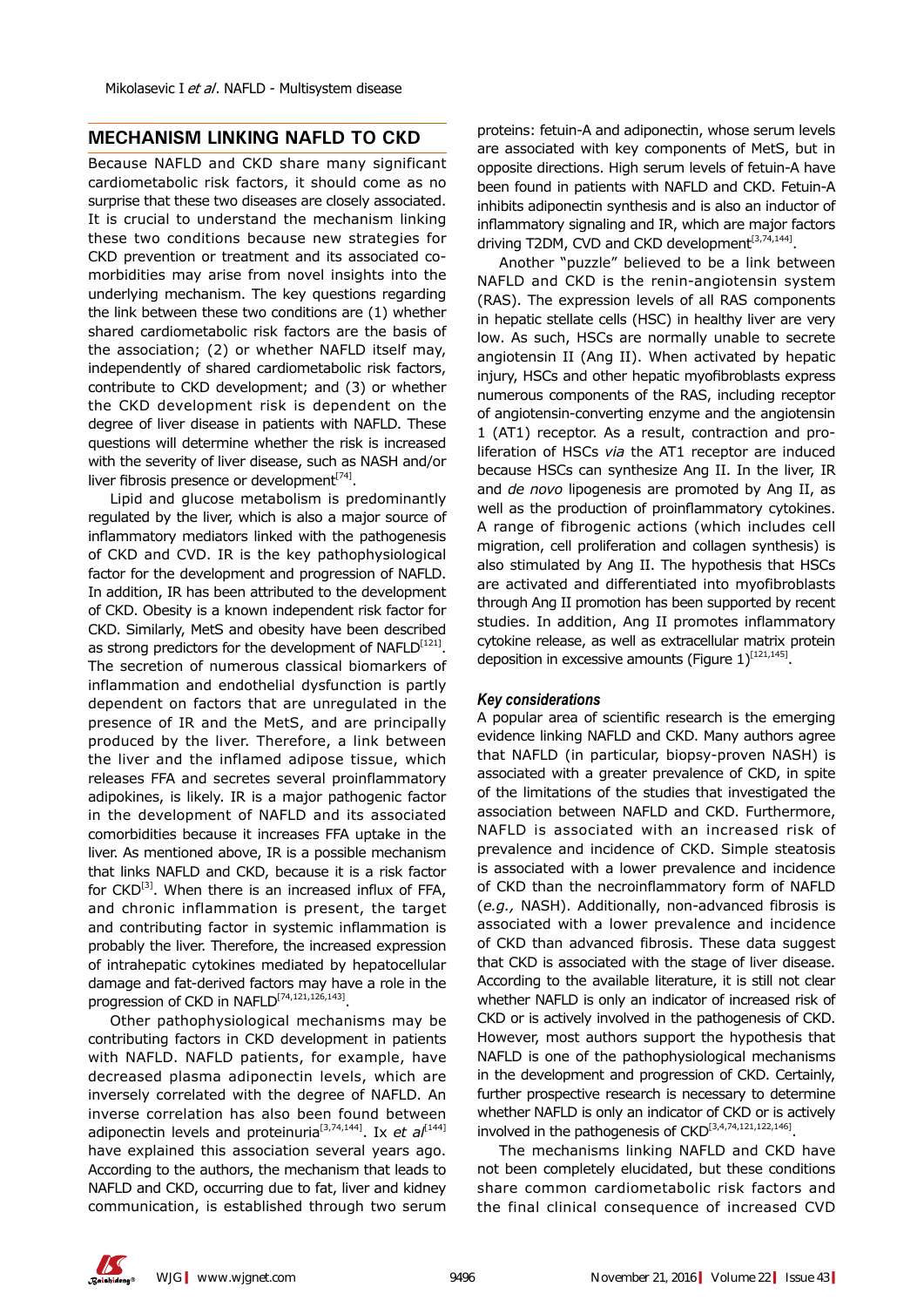### **MECHANISM LINKING NAFLD TO CKD**

Because NAFLD and CKD share many significant cardiometabolic risk factors, it should come as no surprise that these two diseases are closely associated. It is crucial to understand the mechanism linking these two conditions because new strategies for CKD prevention or treatment and its associated comorbidities may arise from novel insights into the underlying mechanism. The key questions regarding the link between these two conditions are (1) whether shared cardiometabolic risk factors are the basis of the association; (2) or whether NAFLD itself may, independently of shared cardiometabolic risk factors, contribute to CKD development; and (3) or whether the CKD development risk is dependent on the degree of liver disease in patients with NAFLD. These questions will determine whether the risk is increased with the severity of liver disease, such as NASH and/or liver fibrosis presence or development<sup>[74]</sup>.

Lipid and glucose metabolism is predominantly regulated by the liver, which is also a major source of inflammatory mediators linked with the pathogenesis of CKD and CVD. IR is the key pathophysiological factor for the development and progression of NAFLD. In addition, IR has been attributed to the development of CKD. Obesity is a known independent risk factor for CKD. Similarly, MetS and obesity have been described as strong predictors for the development of NAFLD<sup>[121]</sup>. The secretion of numerous classical biomarkers of inflammation and endothelial dysfunction is partly dependent on factors that are unregulated in the presence of IR and the MetS, and are principally produced by the liver. Therefore, a link between the liver and the inflamed adipose tissue, which releases FFA and secretes several proinflammatory adipokines, is likely. IR is a major pathogenic factor in the development of NAFLD and its associated comorbidities because it increases FFA uptake in the liver. As mentioned above, IR is a possible mechanism that links NAFLD and CKD, because it is a risk factor for  $CKD^{[3]}$ . When there is an increased influx of FFA, and chronic inflammation is present, the target and contributing factor in systemic inflammation is probably the liver. Therefore, the increased expression of intrahepatic cytokines mediated by hepatocellular damage and fat-derived factors may have a role in the progression of CKD in NAFLD[74,121,126,143].

Other pathophysiological mechanisms may be contributing factors in CKD development in patients with NAFLD. NAFLD patients, for example, have decreased plasma adiponectin levels, which are inversely correlated with the degree of NAFLD. An inverse correlation has also been found between adiponectin levels and proteinuria<sup>[3,74,144]</sup>. Ix *et al*<sup>[144]</sup> have explained this association several years ago. According to the authors, the mechanism that leads to NAFLD and CKD, occurring due to fat, liver and kidney communication, is established through two serum

proteins: fetuin-A and adiponectin, whose serum levels are associated with key components of MetS, but in opposite directions. High serum levels of fetuin-A have been found in patients with NAFLD and CKD. Fetuin-A inhibits adiponectin synthesis and is also an inductor of inflammatory signaling and IR, which are major factors driving T2DM, CVD and CKD development<sup>[3,74,144]</sup>.

Another "puzzle" believed to be a link between NAFLD and CKD is the renin-angiotensin system (RAS). The expression levels of all RAS components in hepatic stellate cells (HSC) in healthy liver are very low. As such, HSCs are normally unable to secrete angiotensin II (Ang II). When activated by hepatic injury, HSCs and other hepatic myofibroblasts express numerous components of the RAS, including receptor of angiotensin-converting enzyme and the angiotensin 1 (AT1) receptor. As a result, contraction and proliferation of HSCs *via* the AT1 receptor are induced because HSCs can synthesize Ang II. In the liver, IR and *de novo* lipogenesis are promoted by Ang II, as well as the production of proinflammatory cytokines. A range of fibrogenic actions (which includes cell migration, cell proliferation and collagen synthesis) is also stimulated by Ang II. The hypothesis that HSCs are activated and differentiated into myofibroblasts through Ang II promotion has been supported by recent studies. In addition, Ang II promotes inflammatory cytokine release, as well as extracellular matrix protein deposition in excessive amounts (Figure  $1$ )<sup>[121,145]</sup>.

#### *Key considerations*

A popular area of scientific research is the emerging evidence linking NAFLD and CKD. Many authors agree that NAFLD (in particular, biopsy-proven NASH) is associated with a greater prevalence of CKD, in spite of the limitations of the studies that investigated the association between NAFLD and CKD. Furthermore, NAFLD is associated with an increased risk of prevalence and incidence of CKD. Simple steatosis is associated with a lower prevalence and incidence of CKD than the necroinflammatory form of NAFLD (*e.g.,* NASH). Additionally, non-advanced fibrosis is associated with a lower prevalence and incidence of CKD than advanced fibrosis. These data suggest that CKD is associated with the stage of liver disease. According to the available literature, it is still not clear whether NAFLD is only an indicator of increased risk of CKD or is actively involved in the pathogenesis of CKD. However, most authors support the hypothesis that NAFLD is one of the pathophysiological mechanisms in the development and progression of CKD. Certainly, further prospective research is necessary to determine whether NAFLD is only an indicator of CKD or is actively involved in the pathogenesis of CKD<sup>[3,4,74,121,122,146]</sup>.

The mechanisms linking NAFLD and CKD have not been completely elucidated, but these conditions share common cardiometabolic risk factors and the final clinical consequence of increased CVD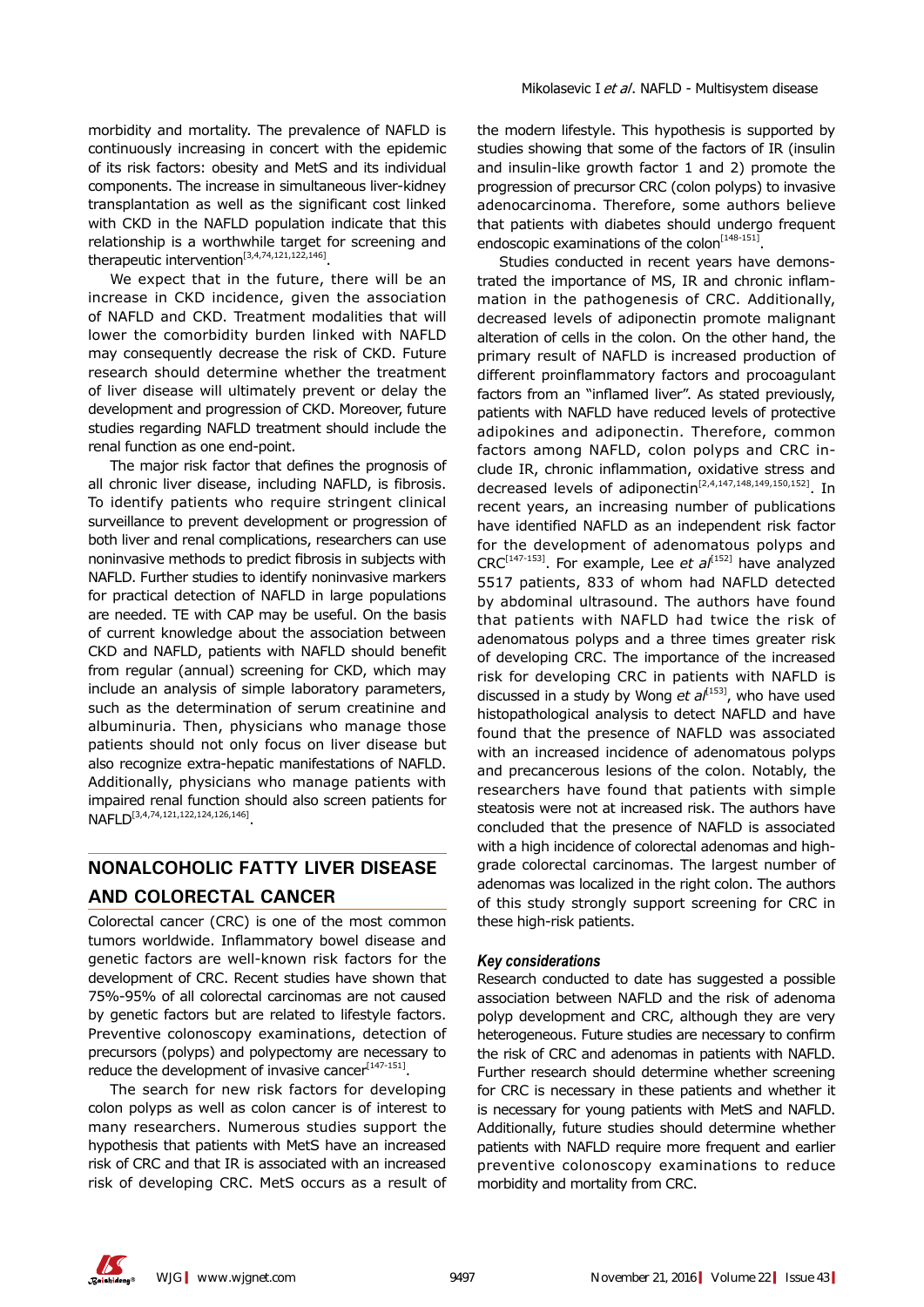morbidity and mortality. The prevalence of NAFLD is continuously increasing in concert with the epidemic of its risk factors: obesity and MetS and its individual components. The increase in simultaneous liver-kidney transplantation as well as the significant cost linked with CKD in the NAFLD population indicate that this relationship is a worthwhile target for screening and therapeutic intervention<sup>[3,4,74,121,122,146]</sup>.

We expect that in the future, there will be an increase in CKD incidence, given the association of NAFLD and CKD. Treatment modalities that will lower the comorbidity burden linked with NAFLD may consequently decrease the risk of CKD. Future research should determine whether the treatment of liver disease will ultimately prevent or delay the development and progression of CKD. Moreover, future studies regarding NAFLD treatment should include the renal function as one end-point.

The major risk factor that defines the prognosis of all chronic liver disease, including NAFLD, is fibrosis. To identify patients who require stringent clinical surveillance to prevent development or progression of both liver and renal complications, researchers can use noninvasive methods to predict fibrosis in subjects with NAFLD. Further studies to identify noninvasive markers for practical detection of NAFLD in large populations are needed. TE with CAP may be useful. On the basis of current knowledge about the association between CKD and NAFLD, patients with NAFLD should benefit from regular (annual) screening for CKD, which may include an analysis of simple laboratory parameters, such as the determination of serum creatinine and albuminuria. Then, physicians who manage those patients should not only focus on liver disease but also recognize extra-hepatic manifestations of NAFLD. Additionally, physicians who manage patients with impaired renal function should also screen patients for NAFLD[3,4,74,121,122,124,126,146].

### **NONALCOHOLIC FATTY LIVER DISEASE AND COLORECTAL CANCER**

Colorectal cancer (CRC) is one of the most common tumors worldwide. Inflammatory bowel disease and genetic factors are well-known risk factors for the development of CRC. Recent studies have shown that 75%-95% of all colorectal carcinomas are not caused by genetic factors but are related to lifestyle factors. Preventive colonoscopy examinations, detection of precursors (polyps) and polypectomy are necessary to reduce the development of invasive cancer $[147-151]$ .

The search for new risk factors for developing colon polyps as well as colon cancer is of interest to many researchers. Numerous studies support the hypothesis that patients with MetS have an increased risk of CRC and that IR is associated with an increased risk of developing CRC. MetS occurs as a result of the modern lifestyle. This hypothesis is supported by studies showing that some of the factors of IR (insulin and insulin-like growth factor 1 and 2) promote the progression of precursor CRC (colon polyps) to invasive adenocarcinoma. Therefore, some authors believe that patients with diabetes should undergo frequent endoscopic examinations of the colon $[148-151]$ .

Studies conducted in recent years have demonstrated the importance of MS, IR and chronic inflammation in the pathogenesis of CRC. Additionally, decreased levels of adiponectin promote malignant alteration of cells in the colon. On the other hand, the primary result of NAFLD is increased production of different proinflammatory factors and procoagulant factors from an "inflamed liver". As stated previously, patients with NAFLD have reduced levels of protective adipokines and adiponectin. Therefore, common factors among NAFLD, colon polyps and CRC include IR, chronic inflammation, oxidative stress and decreased levels of adiponectin<sup>[2,4,147,148,149,150,152]</sup>. In recent years, an increasing number of publications have identified NAFLD as an independent risk factor for the development of adenomatous polyps and CRC<sup>[147-153]</sup>. For example, Lee *et al*<sup>[152]</sup> have analyzed 5517 patients, 833 of whom had NAFLD detected by abdominal ultrasound. The authors have found that patients with NAFLD had twice the risk of adenomatous polyps and a three times greater risk of developing CRC. The importance of the increased risk for developing CRC in patients with NAFLD is discussed in a study by Wong et al<sup>[153]</sup>, who have used histopathological analysis to detect NAFLD and have found that the presence of NAFLD was associated with an increased incidence of adenomatous polyps and precancerous lesions of the colon. Notably, the researchers have found that patients with simple steatosis were not at increased risk. The authors have concluded that the presence of NAFLD is associated with a high incidence of colorectal adenomas and highgrade colorectal carcinomas. The largest number of adenomas was localized in the right colon. The authors of this study strongly support screening for CRC in these high-risk patients.

#### *Key considerations*

Research conducted to date has suggested a possible association between NAFLD and the risk of adenoma polyp development and CRC, although they are very heterogeneous. Future studies are necessary to confirm the risk of CRC and adenomas in patients with NAFLD. Further research should determine whether screening for CRC is necessary in these patients and whether it is necessary for young patients with MetS and NAFLD. Additionally, future studies should determine whether patients with NAFLD require more frequent and earlier preventive colonoscopy examinations to reduce morbidity and mortality from CRC.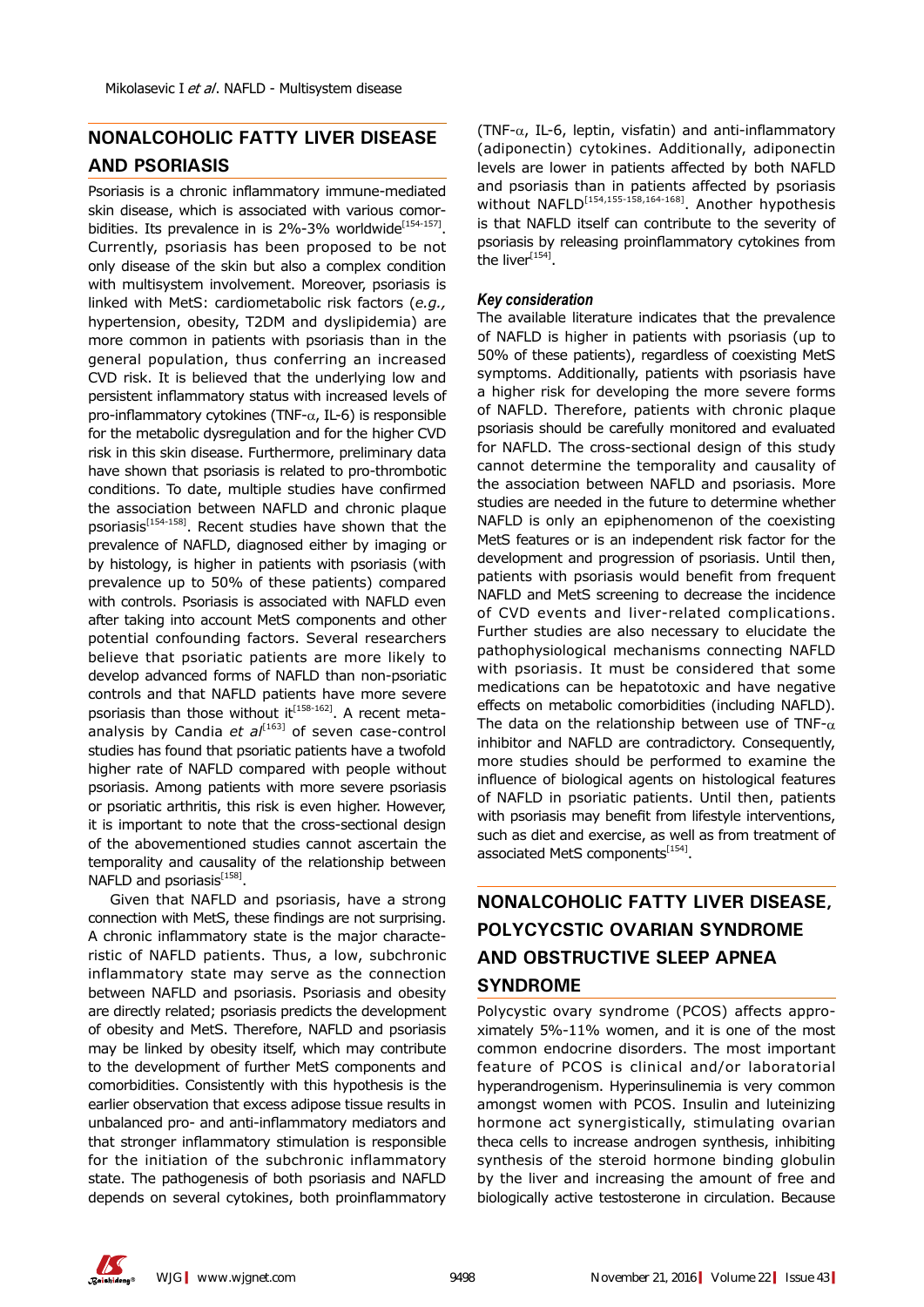## **NONALCOHOLIC FATTY LIVER DISEASE AND PSORIASIS**

Psoriasis is a chronic inflammatory immune-mediated skin disease, which is associated with various comorbidities. Its prevalence in is  $2\%$ -3% worldwide<sup>[154-157]</sup>. Currently, psoriasis has been proposed to be not only disease of the skin but also a complex condition with multisystem involvement. Moreover, psoriasis is linked with MetS: cardiometabolic risk factors (*e.g.,* hypertension, obesity, T2DM and dyslipidemia) are more common in patients with psoriasis than in the general population, thus conferring an increased CVD risk. It is believed that the underlying low and persistent inflammatory status with increased levels of pro-inflammatory cytokines (TNF-α, IL-6) is responsible for the metabolic dysregulation and for the higher CVD risk in this skin disease. Furthermore, preliminary data have shown that psoriasis is related to pro-thrombotic conditions. To date, multiple studies have confirmed the association between NAFLD and chronic plaque psoriasis[154-158]. Recent studies have shown that the prevalence of NAFLD, diagnosed either by imaging or by histology, is higher in patients with psoriasis (with prevalence up to 50% of these patients) compared with controls. Psoriasis is associated with NAFLD even after taking into account MetS components and other potential confounding factors. Several researchers believe that psoriatic patients are more likely to develop advanced forms of NAFLD than non-psoriatic controls and that NAFLD patients have more severe psoriasis than those without it<sup>[158-162]</sup>. A recent metaanalysis by Candia *et al*<sup>[163]</sup> of seven case-control studies has found that psoriatic patients have a twofold higher rate of NAFLD compared with people without psoriasis. Among patients with more severe psoriasis or psoriatic arthritis, this risk is even higher. However, it is important to note that the cross-sectional design of the abovementioned studies cannot ascertain the temporality and causality of the relationship between NAFLD and psoriasis<sup>[158]</sup>.

Given that NAFLD and psoriasis, have a strong connection with MetS, these findings are not surprising. A chronic inflammatory state is the major characteristic of NAFLD patients. Thus, a low, subchronic inflammatory state may serve as the connection between NAFLD and psoriasis. Psoriasis and obesity are directly related; psoriasis predicts the development of obesity and MetS. Therefore, NAFLD and psoriasis may be linked by obesity itself, which may contribute to the development of further MetS components and comorbidities. Consistently with this hypothesis is the earlier observation that excess adipose tissue results in unbalanced pro- and anti-inflammatory mediators and that stronger inflammatory stimulation is responsible for the initiation of the subchronic inflammatory state. The pathogenesis of both psoriasis and NAFLD depends on several cytokines, both proinflammatory

(TNF- $\alpha$ , IL-6, leptin, visfatin) and anti-inflammatory (adiponectin) cytokines. Additionally, adiponectin levels are lower in patients affected by both NAFLD and psoriasis than in patients affected by psoriasis without NAFLD<sup>[154,155-158,164-168]</sup>. Another hypothesis is that NAFLD itself can contribute to the severity of psoriasis by releasing proinflammatory cytokines from the liver<sup>[154]</sup>.

#### *Key consideration*

The available literature indicates that the prevalence of NAFLD is higher in patients with psoriasis (up to 50% of these patients), regardless of coexisting MetS symptoms. Additionally, patients with psoriasis have a higher risk for developing the more severe forms of NAFLD. Therefore, patients with chronic plaque psoriasis should be carefully monitored and evaluated for NAFLD. The cross-sectional design of this study cannot determine the temporality and causality of the association between NAFLD and psoriasis. More studies are needed in the future to determine whether NAFLD is only an epiphenomenon of the coexisting MetS features or is an independent risk factor for the development and progression of psoriasis. Until then, patients with psoriasis would benefit from frequent NAFLD and MetS screening to decrease the incidence of CVD events and liver-related complications. Further studies are also necessary to elucidate the pathophysiological mechanisms connecting NAFLD with psoriasis. It must be considered that some medications can be hepatotoxic and have negative effects on metabolic comorbidities (including NAFLD). The data on the relationship between use of TNF- $\alpha$ inhibitor and NAFLD are contradictory. Consequently, more studies should be performed to examine the influence of biological agents on histological features of NAFLD in psoriatic patients. Until then, patients with psoriasis may benefit from lifestyle interventions, such as diet and exercise, as well as from treatment of associated MetS components[154].

## **NONALCOHOLIC FATTY LIVER DISEASE, POLYCYCSTIC OVARIAN SYNDROME AND OBSTRUCTIVE SLEEP APNEA SYNDROME**

Polycystic ovary syndrome (PCOS) affects approximately 5%-11% women, and it is one of the most common endocrine disorders. The most important feature of PCOS is clinical and/or laboratorial hyperandrogenism. Hyperinsulinemia is very common amongst women with PCOS. Insulin and luteinizing hormone act synergistically, stimulating ovarian theca cells to increase androgen synthesis, inhibiting synthesis of the steroid hormone binding globulin by the liver and increasing the amount of free and biologically active testosterone in circulation. Because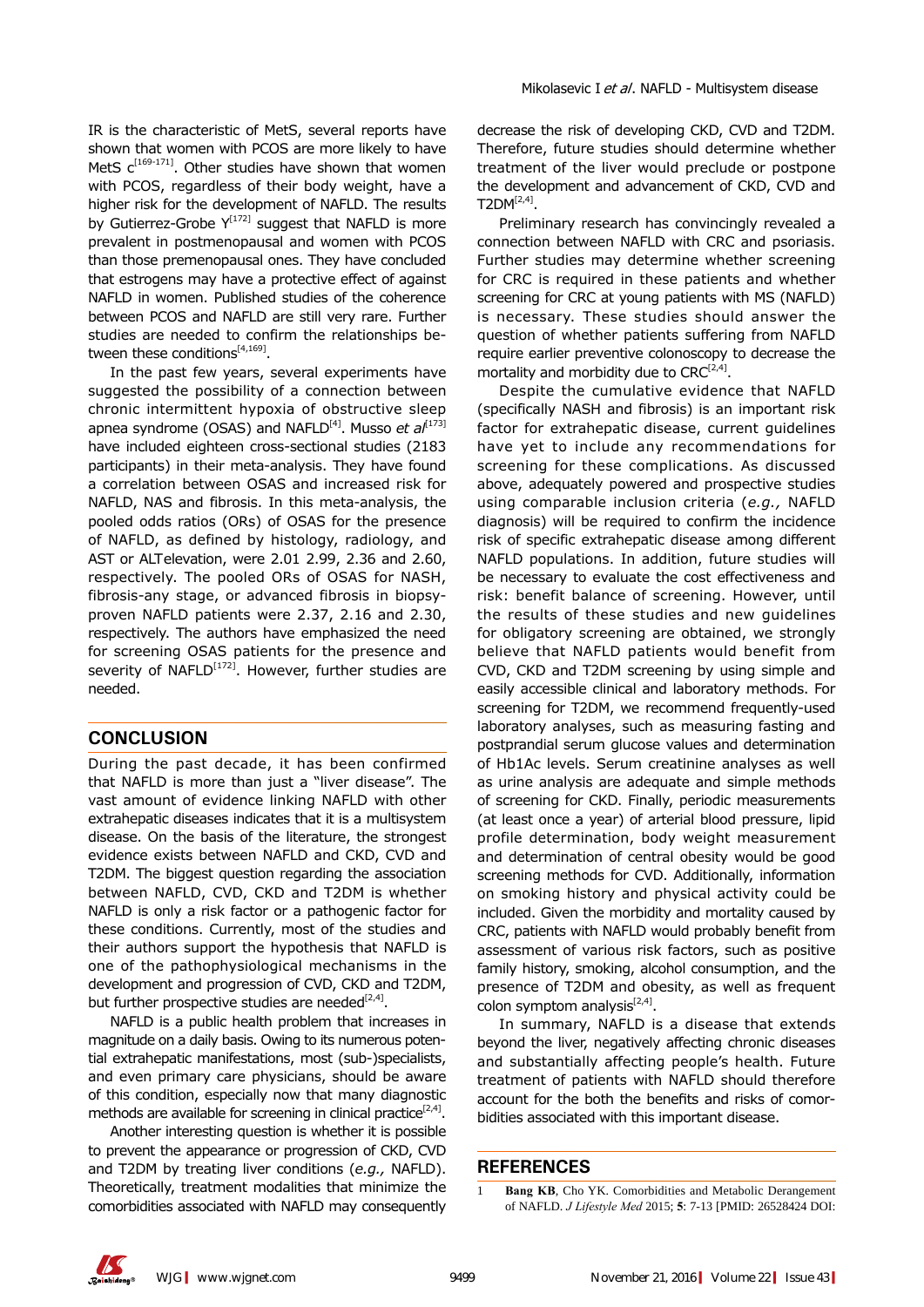IR is the characteristic of MetS, several reports have shown that women with PCOS are more likely to have MetS  $c^{[169-171]}$ . Other studies have shown that women with PCOS, regardless of their body weight, have a higher risk for the development of NAFLD. The results by Gutierrez-Grobe  $Y^{[172]}$  suggest that NAFLD is more prevalent in postmenopausal and women with PCOS than those premenopausal ones. They have concluded that estrogens may have a protective effect of against NAFLD in women. Published studies of the coherence between PCOS and NAFLD are still very rare. Further studies are needed to confirm the relationships between these conditions<sup>[4,169]</sup>.

In the past few years, several experiments have suggested the possibility of a connection between chronic intermittent hypoxia of obstructive sleep apnea syndrome (OSAS) and NAFLD<sup>[4]</sup>. Musso *et al*<sup>[173]</sup> have included eighteen cross-sectional studies (2183 participants) in their meta-analysis. They have found a correlation between OSAS and increased risk for NAFLD, NAS and fibrosis. In this meta-analysis, the pooled odds ratios (ORs) of OSAS for the presence of NAFLD, as defined by histology, radiology, and AST or ALTelevation, were 2.01 2.99, 2.36 and 2.60, respectively. The pooled ORs of OSAS for NASH, fibrosis-any stage, or advanced fibrosis in biopsyproven NAFLD patients were 2.37, 2.16 and 2.30, respectively. The authors have emphasized the need for screening OSAS patients for the presence and severity of NAFLD<sup>[172]</sup>. However, further studies are needed.

#### **CONCLUSION**

During the past decade, it has been confirmed that NAFLD is more than just a "liver disease". The vast amount of evidence linking NAFLD with other extrahepatic diseases indicates that it is a multisystem disease. On the basis of the literature, the strongest evidence exists between NAFLD and CKD, CVD and T2DM. The biggest question regarding the association between NAFLD, CVD, CKD and T2DM is whether NAFLD is only a risk factor or a pathogenic factor for these conditions. Currently, most of the studies and their authors support the hypothesis that NAFLD is one of the pathophysiological mechanisms in the development and progression of CVD, CKD and T2DM, but further prospective studies are needed<sup>[2,4]</sup>.

NAFLD is a public health problem that increases in magnitude on a daily basis. Owing to its numerous potential extrahepatic manifestations, most (sub-)specialists, and even primary care physicians, should be aware of this condition, especially now that many diagnostic methods are available for screening in clinical practice<sup>[2,4]</sup>.

Another interesting question is whether it is possible to prevent the appearance or progression of CKD, CVD and T2DM by treating liver conditions (*e.g.,* NAFLD). Theoretically, treatment modalities that minimize the comorbidities associated with NAFLD may consequently decrease the risk of developing CKD, CVD and T2DM. Therefore, future studies should determine whether treatment of the liver would preclude or postpone the development and advancement of CKD, CVD and  $T2DM^{[2,4]}$ .

Preliminary research has convincingly revealed a connection between NAFLD with CRC and psoriasis. Further studies may determine whether screening for CRC is required in these patients and whether screening for CRC at young patients with MS (NAFLD) is necessary. These studies should answer the question of whether patients suffering from NAFLD require earlier preventive colonoscopy to decrease the mortality and morbidity due to  $CRC^{[2,4]}$ .

Despite the cumulative evidence that NAFLD (specifically NASH and fibrosis) is an important risk factor for extrahepatic disease, current guidelines have yet to include any recommendations for screening for these complications. As discussed above, adequately powered and prospective studies using comparable inclusion criteria (*e.g.,* NAFLD diagnosis) will be required to confirm the incidence risk of specific extrahepatic disease among different NAFLD populations. In addition, future studies will be necessary to evaluate the cost effectiveness and risk: benefit balance of screening. However, until the results of these studies and new guidelines for obligatory screening are obtained, we strongly believe that NAFLD patients would benefit from CVD, CKD and T2DM screening by using simple and easily accessible clinical and laboratory methods. For screening for T2DM, we recommend frequently-used laboratory analyses, such as measuring fasting and postprandial serum glucose values and determination of Hb1Ac levels. Serum creatinine analyses as well as urine analysis are adequate and simple methods of screening for CKD. Finally, periodic measurements (at least once a year) of arterial blood pressure, lipid profile determination, body weight measurement and determination of central obesity would be good screening methods for CVD. Additionally, information on smoking history and physical activity could be included. Given the morbidity and mortality caused by CRC, patients with NAFLD would probably benefit from assessment of various risk factors, such as positive family history, smoking, alcohol consumption, and the presence of T2DM and obesity, as well as frequent colon symptom analysis<sup>[2,4]</sup>.

In summary, NAFLD is a disease that extends beyond the liver, negatively affecting chronic diseases and substantially affecting people's health. Future treatment of patients with NAFLD should therefore account for the both the benefits and risks of comorbidities associated with this important disease.

#### **REFERENCES**

1 **Bang KB**, Cho YK. Comorbidities and Metabolic Derangement of NAFLD. *J Lifestyle Med* 2015; **5**: 7-13 [PMID: 26528424 DOI: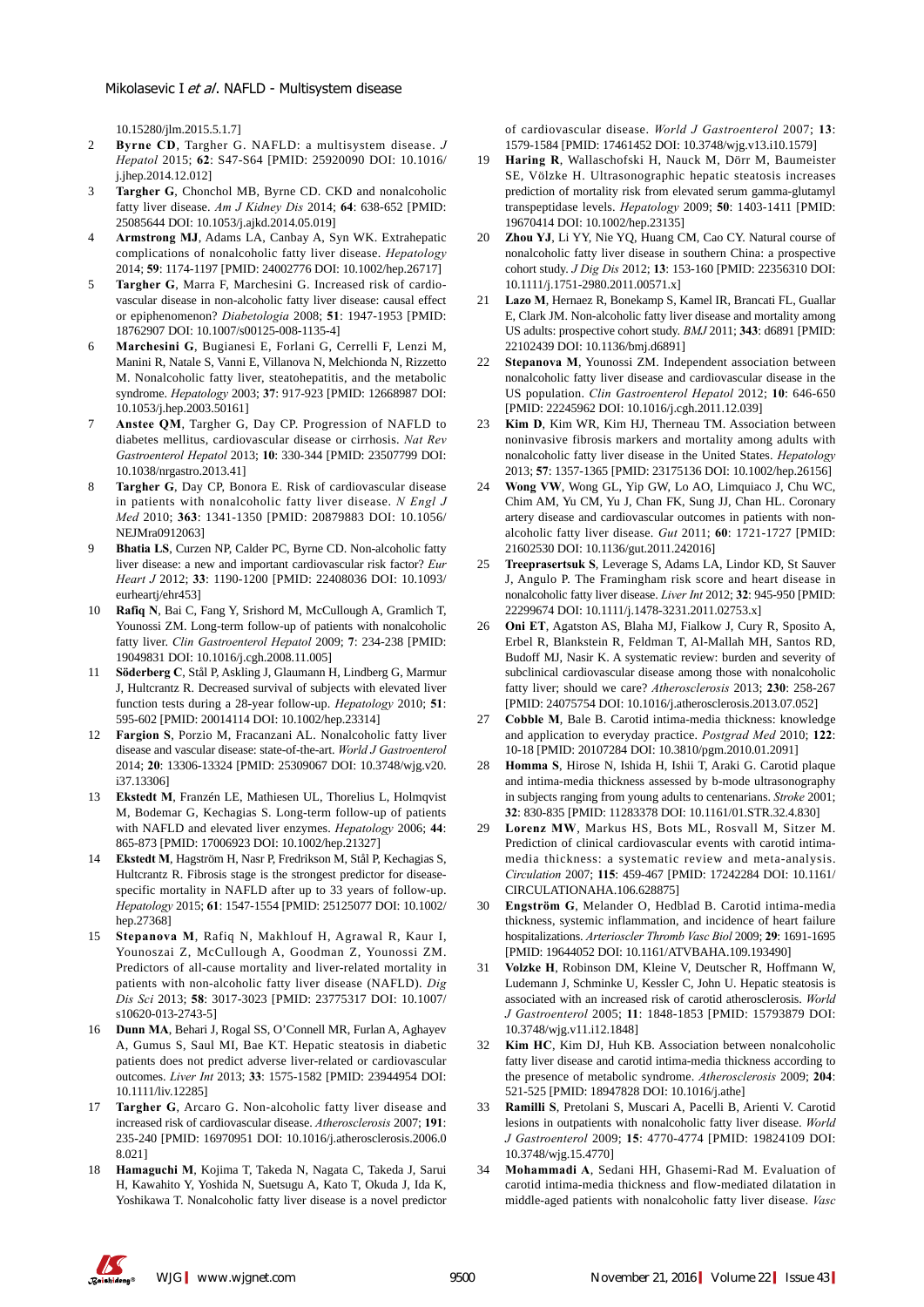10.15280/jlm.2015.5.1.7]

- 2 **Byrne CD**, Targher G. NAFLD: a multisystem disease. *J Hepatol* 2015; **62**: S47-S64 [PMID: 25920090 DOI: 10.1016/ j.jhep.2014.12.012]
- 3 **Targher G**, Chonchol MB, Byrne CD. CKD and nonalcoholic fatty liver disease. *Am J Kidney Dis* 2014; **64**: 638-652 [PMID: 25085644 DOI: 10.1053/j.ajkd.2014.05.019]
- 4 **Armstrong MJ**, Adams LA, Canbay A, Syn WK. Extrahepatic complications of nonalcoholic fatty liver disease. *Hepatology* 2014; **59**: 1174-1197 [PMID: 24002776 DOI: 10.1002/hep.26717]
- 5 **Targher G**, Marra F, Marchesini G. Increased risk of cardiovascular disease in non-alcoholic fatty liver disease: causal effect or epiphenomenon? *Diabetologia* 2008; **51**: 1947-1953 [PMID: 18762907 DOI: 10.1007/s00125-008-1135-4]
- 6 **Marchesini G**, Bugianesi E, Forlani G, Cerrelli F, Lenzi M, Manini R, Natale S, Vanni E, Villanova N, Melchionda N, Rizzetto M. Nonalcoholic fatty liver, steatohepatitis, and the metabolic syndrome. *Hepatology* 2003; **37**: 917-923 [PMID: 12668987 DOI: 10.1053/j.hep.2003.50161]
- 7 **Anstee QM**, Targher G, Day CP. Progression of NAFLD to diabetes mellitus, cardiovascular disease or cirrhosis. *Nat Rev Gastroenterol Hepatol* 2013; **10**: 330-344 [PMID: 23507799 DOI: 10.1038/nrgastro.2013.41]
- 8 **Targher G**, Day CP, Bonora E. Risk of cardiovascular disease in patients with nonalcoholic fatty liver disease. *N Engl J Med* 2010; **363**: 1341-1350 [PMID: 20879883 DOI: 10.1056/ NEJMra0912063]
- 9 **Bhatia LS**, Curzen NP, Calder PC, Byrne CD. Non-alcoholic fatty liver disease: a new and important cardiovascular risk factor? *Eur Heart J* 2012; **33**: 1190-1200 [PMID: 22408036 DOI: 10.1093/ eurheartj/ehr453]
- 10 **Rafiq N**, Bai C, Fang Y, Srishord M, McCullough A, Gramlich T, Younossi ZM. Long-term follow-up of patients with nonalcoholic fatty liver. *Clin Gastroenterol Hepatol* 2009; **7**: 234-238 [PMID: 19049831 DOI: 10.1016/j.cgh.2008.11.005]
- 11 **Söderberg C**, Stål P, Askling J, Glaumann H, Lindberg G, Marmur J, Hultcrantz R. Decreased survival of subjects with elevated liver function tests during a 28-year follow-up. *Hepatology* 2010; **51**: 595-602 [PMID: 20014114 DOI: 10.1002/hep.23314]
- 12 **Fargion S**, Porzio M, Fracanzani AL. Nonalcoholic fatty liver disease and vascular disease: state-of-the-art. *World J Gastroenterol* 2014; **20**: 13306-13324 [PMID: 25309067 DOI: 10.3748/wjg.v20. i37.13306]
- 13 **Ekstedt M**, Franzén LE, Mathiesen UL, Thorelius L, Holmqvist M, Bodemar G, Kechagias S. Long-term follow-up of patients with NAFLD and elevated liver enzymes. *Hepatology* 2006; **44**: 865-873 [PMID: 17006923 DOI: 10.1002/hep.21327]
- 14 **Ekstedt M**, Hagström H, Nasr P, Fredrikson M, Stål P, Kechagias S, Hultcrantz R. Fibrosis stage is the strongest predictor for diseasespecific mortality in NAFLD after up to 33 years of follow-up. *Hepatology* 2015; **61**: 1547-1554 [PMID: 25125077 DOI: 10.1002/ hep.27368]
- 15 **Stepanova M**, Rafiq N, Makhlouf H, Agrawal R, Kaur I, Younoszai Z, McCullough A, Goodman Z, Younossi ZM. Predictors of all-cause mortality and liver-related mortality in patients with non-alcoholic fatty liver disease (NAFLD). *Dig Dis Sci* 2013; **58**: 3017-3023 [PMID: 23775317 DOI: 10.1007/ s10620-013-2743-5]
- 16 **Dunn MA**, Behari J, Rogal SS, O'Connell MR, Furlan A, Aghayev A, Gumus S, Saul MI, Bae KT. Hepatic steatosis in diabetic patients does not predict adverse liver-related or cardiovascular outcomes. *Liver Int* 2013; **33**: 1575-1582 [PMID: 23944954 DOI: 10.1111/liv.12285]
- 17 **Targher G**, Arcaro G. Non-alcoholic fatty liver disease and increased risk of cardiovascular disease. *Atherosclerosis* 2007; **191**: 235-240 [PMID: 16970951 DOI: 10.1016/j.atherosclerosis.2006.0 8.021]
- 18 **Hamaguchi M**, Kojima T, Takeda N, Nagata C, Takeda J, Sarui H, Kawahito Y, Yoshida N, Suetsugu A, Kato T, Okuda J, Ida K, Yoshikawa T. Nonalcoholic fatty liver disease is a novel predictor

of cardiovascular disease. *World J Gastroenterol* 2007; **13**: 1579-1584 [PMID: 17461452 DOI: 10.3748/wjg.v13.i10.1579]

- 19 **Haring R**, Wallaschofski H, Nauck M, Dörr M, Baumeister SE, Völzke H. Ultrasonographic hepatic steatosis increases prediction of mortality risk from elevated serum gamma-glutamyl transpeptidase levels. *Hepatology* 2009; **50**: 1403-1411 [PMID: 19670414 DOI: 10.1002/hep.23135]
- 20 **Zhou YJ**, Li YY, Nie YQ, Huang CM, Cao CY. Natural course of nonalcoholic fatty liver disease in southern China: a prospective cohort study. *J Dig Dis* 2012; **13**: 153-160 [PMID: 22356310 DOI: 10.1111/j.1751-2980.2011.00571.x]
- 21 **Lazo M**, Hernaez R, Bonekamp S, Kamel IR, Brancati FL, Guallar E, Clark JM. Non-alcoholic fatty liver disease and mortality among US adults: prospective cohort study. *BMJ* 2011; **343**: d6891 [PMID: 22102439 DOI: 10.1136/bmj.d6891]
- 22 **Stepanova M**, Younossi ZM. Independent association between nonalcoholic fatty liver disease and cardiovascular disease in the US population. *Clin Gastroenterol Hepatol* 2012; **10**: 646-650 [PMID: 22245962 DOI: 10.1016/j.cgh.2011.12.039]
- 23 **Kim D**, Kim WR, Kim HJ, Therneau TM. Association between noninvasive fibrosis markers and mortality among adults with nonalcoholic fatty liver disease in the United States. *Hepatology* 2013; **57**: 1357-1365 [PMID: 23175136 DOI: 10.1002/hep.26156]
- Wong VW, Wong GL, Yip GW, Lo AO, Limquiaco J, Chu WC, Chim AM, Yu CM, Yu J, Chan FK, Sung JJ, Chan HL. Coronary artery disease and cardiovascular outcomes in patients with nonalcoholic fatty liver disease. *Gut* 2011; **60**: 1721-1727 [PMID: 21602530 DOI: 10.1136/gut.2011.242016]
- 25 **Treeprasertsuk S**, Leverage S, Adams LA, Lindor KD, St Sauver J, Angulo P. The Framingham risk score and heart disease in nonalcoholic fatty liver disease. *Liver Int* 2012; **32**: 945-950 [PMID: 22299674 DOI: 10.1111/j.1478-3231.2011.02753.x]
- 26 **Oni ET**, Agatston AS, Blaha MJ, Fialkow J, Cury R, Sposito A, Erbel R, Blankstein R, Feldman T, Al-Mallah MH, Santos RD, Budoff MJ, Nasir K. A systematic review: burden and severity of subclinical cardiovascular disease among those with nonalcoholic fatty liver; should we care? *Atherosclerosis* 2013; **230**: 258-267 [PMID: 24075754 DOI: 10.1016/j.atherosclerosis.2013.07.052]
- 27 **Cobble M**, Bale B. Carotid intima-media thickness: knowledge and application to everyday practice. *Postgrad Med* 2010; **122**: 10-18 [PMID: 20107284 DOI: 10.3810/pgm.2010.01.2091]
- 28 **Homma S**, Hirose N, Ishida H, Ishii T, Araki G. Carotid plaque and intima-media thickness assessed by b-mode ultrasonography in subjects ranging from young adults to centenarians. *Stroke* 2001; **32**: 830-835 [PMID: 11283378 DOI: 10.1161/01.STR.32.4.830]
- Lorenz MW, Markus HS, Bots ML, Rosvall M, Sitzer M. Prediction of clinical cardiovascular events with carotid intimamedia thickness: a systematic review and meta-analysis. *Circulation* 2007; **115**: 459-467 [PMID: 17242284 DOI: 10.1161/ CIRCULATIONAHA.106.628875]
- 30 **Engström G**, Melander O, Hedblad B. Carotid intima-media thickness, systemic inflammation, and incidence of heart failure hospitalizations. *Arterioscler Thromb Vasc Biol* 2009; **29**: 1691-1695 [PMID: 19644052 DOI: 10.1161/ATVBAHA.109.193490]
- 31 **Volzke H**, Robinson DM, Kleine V, Deutscher R, Hoffmann W, Ludemann J, Schminke U, Kessler C, John U. Hepatic steatosis is associated with an increased risk of carotid atherosclerosis. *World J Gastroenterol* 2005; **11**: 1848-1853 [PMID: 15793879 DOI: 10.3748/wjg.v11.i12.1848]
- 32 **Kim HC**, Kim DJ, Huh KB. Association between nonalcoholic fatty liver disease and carotid intima-media thickness according to the presence of metabolic syndrome. *Atherosclerosis* 2009; **204**: 521-525 [PMID: 18947828 DOI: 10.1016/j.athe]
- 33 **Ramilli S**, Pretolani S, Muscari A, Pacelli B, Arienti V. Carotid lesions in outpatients with nonalcoholic fatty liver disease. *World J Gastroenterol* 2009; **15**: 4770-4774 [PMID: 19824109 DOI: 10.3748/wjg.15.4770]
- 34 **Mohammadi A**, Sedani HH, Ghasemi-Rad M. Evaluation of carotid intima-media thickness and flow-mediated dilatation in middle-aged patients with nonalcoholic fatty liver disease. *Vasc*

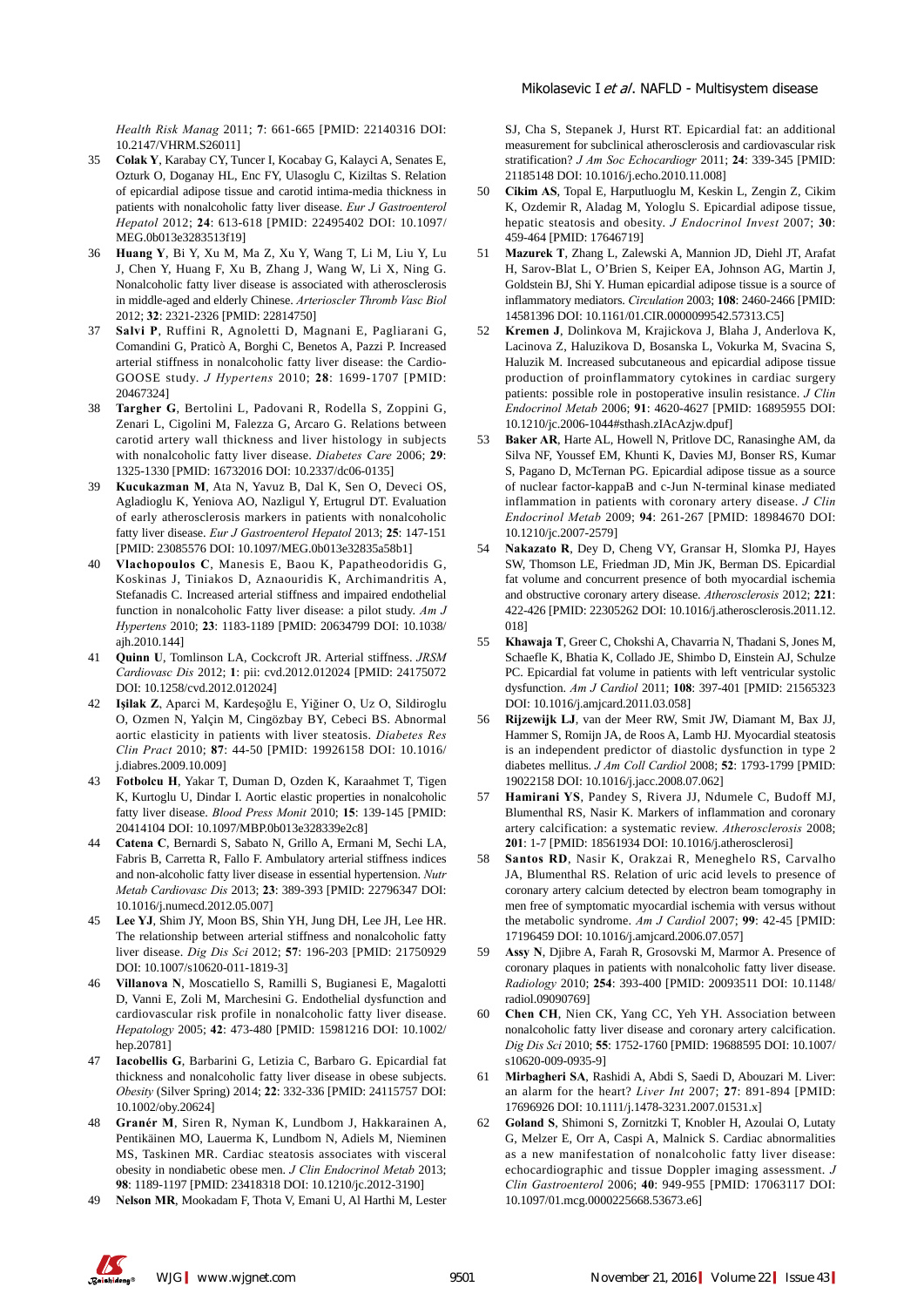*Health Risk Manag* 2011; **7**: 661-665 [PMID: 22140316 DOI: 10.2147/VHRM.S26011]

- 35 **Colak Y**, Karabay CY, Tuncer I, Kocabay G, Kalayci A, Senates E, Ozturk O, Doganay HL, Enc FY, Ulasoglu C, Kiziltas S. Relation of epicardial adipose tissue and carotid intima-media thickness in patients with nonalcoholic fatty liver disease. *Eur J Gastroenterol Hepatol* 2012; **24**: 613-618 [PMID: 22495402 DOI: 10.1097/ MEG.0b013e3283513f19]
- 36 **Huang Y**, Bi Y, Xu M, Ma Z, Xu Y, Wang T, Li M, Liu Y, Lu J, Chen Y, Huang F, Xu B, Zhang J, Wang W, Li X, Ning G. Nonalcoholic fatty liver disease is associated with atherosclerosis in middle-aged and elderly Chinese. *Arterioscler Thromb Vasc Biol* 2012; **32**: 2321-2326 [PMID: 22814750]
- 37 **Salvi P**, Ruffini R, Agnoletti D, Magnani E, Pagliarani G, Comandini G, Praticò A, Borghi C, Benetos A, Pazzi P. Increased arterial stiffness in nonalcoholic fatty liver disease: the Cardio-GOOSE study. *J Hypertens* 2010; **28**: 1699-1707 [PMID: 20467324]
- 38 **Targher G**, Bertolini L, Padovani R, Rodella S, Zoppini G, Zenari L, Cigolini M, Falezza G, Arcaro G. Relations between carotid artery wall thickness and liver histology in subjects with nonalcoholic fatty liver disease. *Diabetes Care* 2006; **29**: 1325-1330 [PMID: 16732016 DOI: 10.2337/dc06-0135]
- 39 **Kucukazman M**, Ata N, Yavuz B, Dal K, Sen O, Deveci OS, Agladioglu K, Yeniova AO, Nazligul Y, Ertugrul DT. Evaluation of early atherosclerosis markers in patients with nonalcoholic fatty liver disease. *Eur J Gastroenterol Hepatol* 2013; **25**: 147-151 [PMID: 23085576 DOI: 10.1097/MEG.0b013e32835a58b1]
- 40 **Vlachopoulos C**, Manesis E, Baou K, Papatheodoridis G, Koskinas J, Tiniakos D, Aznaouridis K, Archimandritis A, Stefanadis C. Increased arterial stiffness and impaired endothelial function in nonalcoholic Fatty liver disease: a pilot study. *Am J Hypertens* 2010; **23**: 1183-1189 [PMID: 20634799 DOI: 10.1038/ ajh.2010.144]
- 41 **Quinn U**, Tomlinson LA, Cockcroft JR. Arterial stiffness. *JRSM Cardiovasc Dis* 2012; **1**: pii: cvd.2012.012024 [PMID: 24175072 DOI: 10.1258/cvd.2012.012024]
- 42 **Işilak Z**, Aparci M, Kardeşoğlu E, Yiğiner O, Uz O, Sildiroglu O, Ozmen N, Yalçin M, Cingözbay BY, Cebeci BS. Abnormal aortic elasticity in patients with liver steatosis. *Diabetes Res Clin Pract* 2010; **87**: 44-50 [PMID: 19926158 DOI: 10.1016/ j.diabres.2009.10.009]
- 43 **Fotbolcu H**, Yakar T, Duman D, Ozden K, Karaahmet T, Tigen K, Kurtoglu U, Dindar I. Aortic elastic properties in nonalcoholic fatty liver disease. *Blood Press Monit* 2010; **15**: 139-145 [PMID: 20414104 DOI: 10.1097/MBP.0b013e328339e2c8]
- 44 **Catena C**, Bernardi S, Sabato N, Grillo A, Ermani M, Sechi LA, Fabris B, Carretta R, Fallo F. Ambulatory arterial stiffness indices and non-alcoholic fatty liver disease in essential hypertension. *Nutr Metab Cardiovasc Dis* 2013; **23**: 389-393 [PMID: 22796347 DOI: 10.1016/j.numecd.2012.05.007]
- 45 **Lee YJ**, Shim JY, Moon BS, Shin YH, Jung DH, Lee JH, Lee HR. The relationship between arterial stiffness and nonalcoholic fatty liver disease. *Dig Dis Sci* 2012; **57**: 196-203 [PMID: 21750929 DOI: 10.1007/s10620-011-1819-3]
- 46 **Villanova N**, Moscatiello S, Ramilli S, Bugianesi E, Magalotti D, Vanni E, Zoli M, Marchesini G. Endothelial dysfunction and cardiovascular risk profile in nonalcoholic fatty liver disease. *Hepatology* 2005; **42**: 473-480 [PMID: 15981216 DOI: 10.1002/ hep.20781]
- 47 **Iacobellis G**, Barbarini G, Letizia C, Barbaro G. Epicardial fat thickness and nonalcoholic fatty liver disease in obese subjects. *Obesity* (Silver Spring) 2014; **22**: 332-336 [PMID: 24115757 DOI: 10.1002/oby.20624]
- 48 **Granér M**, Siren R, Nyman K, Lundbom J, Hakkarainen A, Pentikäinen MO, Lauerma K, Lundbom N, Adiels M, Nieminen MS, Taskinen MR. Cardiac steatosis associates with visceral obesity in nondiabetic obese men. *J Clin Endocrinol Metab* 2013; **98**: 1189-1197 [PMID: 23418318 DOI: 10.1210/jc.2012-3190]
- 49 **Nelson MR**, Mookadam F, Thota V, Emani U, Al Harthi M, Lester

SJ, Cha S, Stepanek J, Hurst RT. Epicardial fat: an additional measurement for subclinical atherosclerosis and cardiovascular risk stratification? *J Am Soc Echocardiogr* 2011; **24**: 339-345 [PMID: 21185148 DOI: 10.1016/j.echo.2010.11.008]

- 50 **Cikim AS**, Topal E, Harputluoglu M, Keskin L, Zengin Z, Cikim K, Ozdemir R, Aladag M, Yologlu S. Epicardial adipose tissue, hepatic steatosis and obesity. *J Endocrinol Invest* 2007; **30**: 459-464 [PMID: 17646719]
- 51 **Mazurek T**, Zhang L, Zalewski A, Mannion JD, Diehl JT, Arafat H, Sarov-Blat L, O'Brien S, Keiper EA, Johnson AG, Martin J, Goldstein BJ, Shi Y. Human epicardial adipose tissue is a source of inflammatory mediators. *Circulation* 2003; **108**: 2460-2466 [PMID: 14581396 DOI: 10.1161/01.CIR.0000099542.57313.C5]
- 52 **Kremen J**, Dolinkova M, Krajickova J, Blaha J, Anderlova K, Lacinova Z, Haluzikova D, Bosanska L, Vokurka M, Svacina S, Haluzik M. Increased subcutaneous and epicardial adipose tissue production of proinflammatory cytokines in cardiac surgery patients: possible role in postoperative insulin resistance. *J Clin Endocrinol Metab* 2006; **91**: 4620-4627 [PMID: 16895955 DOI: 10.1210/jc.2006-1044#sthash.zIAcAzjw.dpuf]
- 53 **Baker AR**, Harte AL, Howell N, Pritlove DC, Ranasinghe AM, da Silva NF, Youssef EM, Khunti K, Davies MJ, Bonser RS, Kumar S, Pagano D, McTernan PG. Epicardial adipose tissue as a source of nuclear factor-kappaB and c-Jun N-terminal kinase mediated inflammation in patients with coronary artery disease. *J Clin Endocrinol Metab* 2009; **94**: 261-267 [PMID: 18984670 DOI: 10.1210/jc.2007-2579]
- Nakazato R, Dey D, Cheng VY, Gransar H, Slomka PJ, Hayes SW, Thomson LE, Friedman JD, Min JK, Berman DS. Epicardial fat volume and concurrent presence of both myocardial ischemia and obstructive coronary artery disease. *Atherosclerosis* 2012; **221**: 422-426 [PMID: 22305262 DOI: 10.1016/j.atherosclerosis.2011.12. 018]
- 55 **Khawaja T**, Greer C, Chokshi A, Chavarria N, Thadani S, Jones M, Schaefle K, Bhatia K, Collado JE, Shimbo D, Einstein AJ, Schulze PC. Epicardial fat volume in patients with left ventricular systolic dysfunction. *Am J Cardiol* 2011; **108**: 397-401 [PMID: 21565323 DOI: 10.1016/j.amjcard.2011.03.058]
- 56 **Rijzewijk LJ**, van der Meer RW, Smit JW, Diamant M, Bax JJ, Hammer S, Romijn JA, de Roos A, Lamb HJ. Myocardial steatosis is an independent predictor of diastolic dysfunction in type 2 diabetes mellitus. *J Am Coll Cardiol* 2008; **52**: 1793-1799 [PMID: 19022158 DOI: 10.1016/j.jacc.2008.07.062]
- 57 **Hamirani YS**, Pandey S, Rivera JJ, Ndumele C, Budoff MJ, Blumenthal RS, Nasir K. Markers of inflammation and coronary artery calcification: a systematic review. *Atherosclerosis* 2008; **201**: 1-7 [PMID: 18561934 DOI: 10.1016/j.atherosclerosi]
- 58 **Santos RD**, Nasir K, Orakzai R, Meneghelo RS, Carvalho JA, Blumenthal RS. Relation of uric acid levels to presence of coronary artery calcium detected by electron beam tomography in men free of symptomatic myocardial ischemia with versus without the metabolic syndrome. *Am J Cardiol* 2007; **99**: 42-45 [PMID: 17196459 DOI: 10.1016/j.amjcard.2006.07.057]
- 59 **Assy N**, Djibre A, Farah R, Grosovski M, Marmor A. Presence of coronary plaques in patients with nonalcoholic fatty liver disease. *Radiology* 2010; **254**: 393-400 [PMID: 20093511 DOI: 10.1148/ radiol.09090769]
- 60 **Chen CH**, Nien CK, Yang CC, Yeh YH. Association between nonalcoholic fatty liver disease and coronary artery calcification. *Dig Dis Sci* 2010; **55**: 1752-1760 [PMID: 19688595 DOI: 10.1007/ s10620-009-0935-9]
- 61 **Mirbagheri SA**, Rashidi A, Abdi S, Saedi D, Abouzari M. Liver: an alarm for the heart? *Liver Int* 2007; **27**: 891-894 [PMID: 17696926 DOI: 10.1111/j.1478-3231.2007.01531.x]
- 62 **Goland S**, Shimoni S, Zornitzki T, Knobler H, Azoulai O, Lutaty G, Melzer E, Orr A, Caspi A, Malnick S. Cardiac abnormalities as a new manifestation of nonalcoholic fatty liver disease: echocardiographic and tissue Doppler imaging assessment. *J Clin Gastroenterol* 2006; **40**: 949-955 [PMID: 17063117 DOI: 10.1097/01.mcg.0000225668.53673.e6]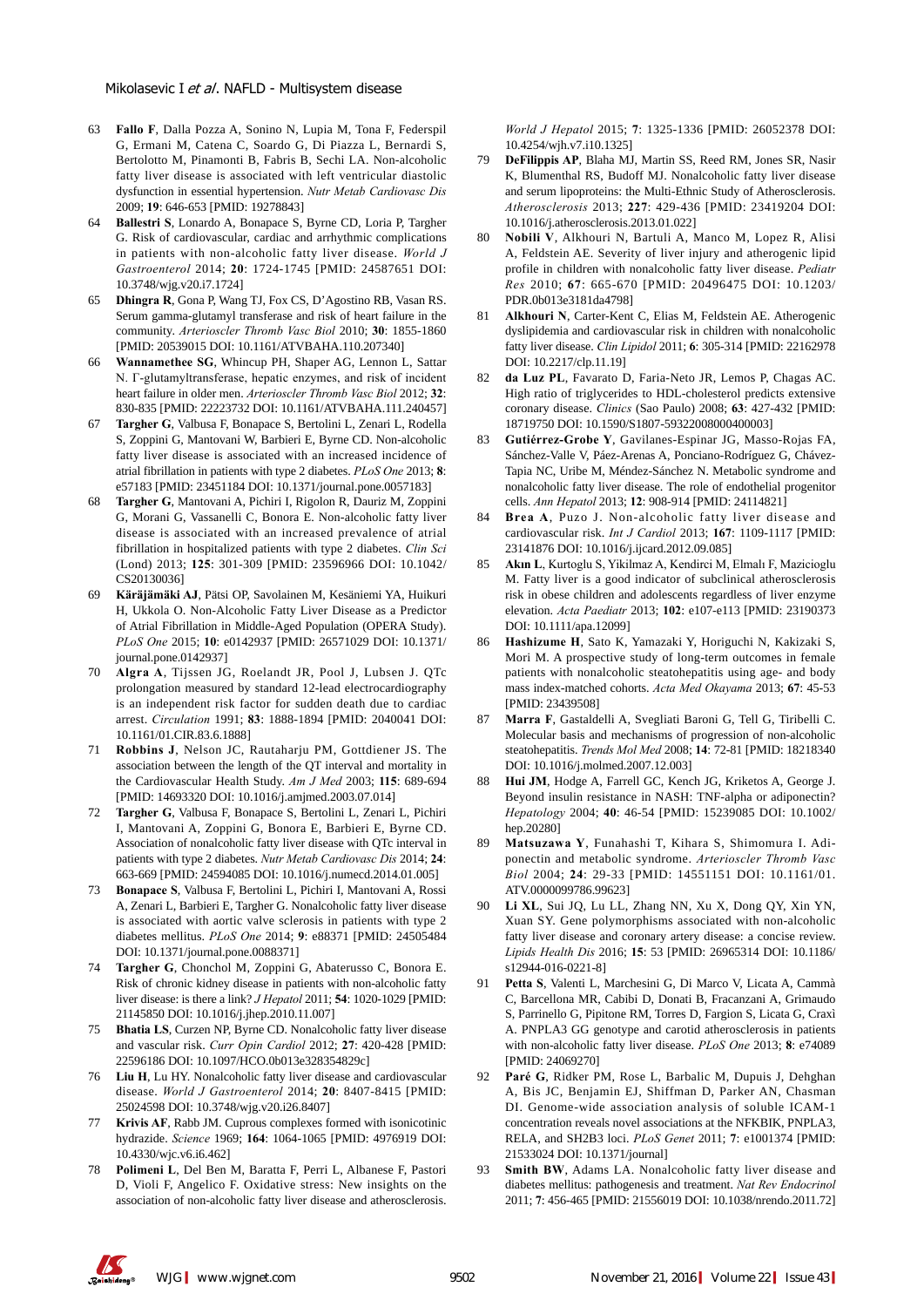- 63 **Fallo F**, Dalla Pozza A, Sonino N, Lupia M, Tona F, Federspil G, Ermani M, Catena C, Soardo G, Di Piazza L, Bernardi S, Bertolotto M, Pinamonti B, Fabris B, Sechi LA. Non-alcoholic fatty liver disease is associated with left ventricular diastolic dysfunction in essential hypertension. *Nutr Metab Cardiovasc Dis* 2009; **19**: 646-653 [PMID: 19278843]
- 64 **Ballestri S**, Lonardo A, Bonapace S, Byrne CD, Loria P, Targher G. Risk of cardiovascular, cardiac and arrhythmic complications in patients with non-alcoholic fatty liver disease. *World J Gastroenterol* 2014; **20**: 1724-1745 [PMID: 24587651 DOI: 10.3748/wjg.v20.i7.1724]
- 65 **Dhingra R**, Gona P, Wang TJ, Fox CS, D'Agostino RB, Vasan RS. Serum gamma-glutamyl transferase and risk of heart failure in the community. *Arterioscler Thromb Vasc Biol* 2010; **30**: 1855-1860 [PMID: 20539015 DOI: 10.1161/ATVBAHA.110.207340]
- 66 **Wannamethee SG**, Whincup PH, Shaper AG, Lennon L, Sattar N. Γ-glutamyltransferase, hepatic enzymes, and risk of incident heart failure in older men. *Arterioscler Thromb Vasc Biol* 2012; **32**: 830-835 [PMID: 22223732 DOI: 10.1161/ATVBAHA.111.240457]
- 67 **Targher G**, Valbusa F, Bonapace S, Bertolini L, Zenari L, Rodella S, Zoppini G, Mantovani W, Barbieri E, Byrne CD. Non-alcoholic fatty liver disease is associated with an increased incidence of atrial fibrillation in patients with type 2 diabetes. *PLoS One* 2013; **8**: e57183 [PMID: 23451184 DOI: 10.1371/journal.pone.0057183]
- 68 **Targher G**, Mantovani A, Pichiri I, Rigolon R, Dauriz M, Zoppini G, Morani G, Vassanelli C, Bonora E. Non-alcoholic fatty liver disease is associated with an increased prevalence of atrial fibrillation in hospitalized patients with type 2 diabetes. *Clin Sci* (Lond) 2013; **125**: 301-309 [PMID: 23596966 DOI: 10.1042/ CS20130036]
- 69 **Käräjämäki AJ**, Pätsi OP, Savolainen M, Kesäniemi YA, Huikuri H, Ukkola O. Non-Alcoholic Fatty Liver Disease as a Predictor of Atrial Fibrillation in Middle-Aged Population (OPERA Study). *PLoS One* 2015; **10**: e0142937 [PMID: 26571029 DOI: 10.1371/ journal.pone.0142937]
- 70 **Algra A**, Tijssen JG, Roelandt JR, Pool J, Lubsen J. QTc prolongation measured by standard 12-lead electrocardiography is an independent risk factor for sudden death due to cardiac arrest. *Circulation* 1991; **83**: 1888-1894 [PMID: 2040041 DOI: 10.1161/01.CIR.83.6.1888]
- 71 **Robbins J**, Nelson JC, Rautaharju PM, Gottdiener JS. The association between the length of the QT interval and mortality in the Cardiovascular Health Study. *Am J Med* 2003; **115**: 689-694 [PMID: 14693320 DOI: 10.1016/j.amjmed.2003.07.014]
- 72 **Targher G**, Valbusa F, Bonapace S, Bertolini L, Zenari L, Pichiri I, Mantovani A, Zoppini G, Bonora E, Barbieri E, Byrne CD. Association of nonalcoholic fatty liver disease with QTc interval in patients with type 2 diabetes. *Nutr Metab Cardiovasc Dis* 2014; **24**: 663-669 [PMID: 24594085 DOI: 10.1016/j.numecd.2014.01.005]
- 73 **Bonapace S**, Valbusa F, Bertolini L, Pichiri I, Mantovani A, Rossi A, Zenari L, Barbieri E, Targher G. Nonalcoholic fatty liver disease is associated with aortic valve sclerosis in patients with type 2 diabetes mellitus. *PLoS One* 2014; **9**: e88371 [PMID: 24505484 DOI: 10.1371/journal.pone.0088371]
- 74 **Targher G**, Chonchol M, Zoppini G, Abaterusso C, Bonora E. Risk of chronic kidney disease in patients with non-alcoholic fatty liver disease: is there a link? *J Hepatol* 2011; **54**: 1020-1029 [PMID: 21145850 DOI: 10.1016/j.jhep.2010.11.007]
- 75 **Bhatia LS**, Curzen NP, Byrne CD. Nonalcoholic fatty liver disease and vascular risk. *Curr Opin Cardiol* 2012; **27**: 420-428 [PMID: 22596186 DOI: 10.1097/HCO.0b013e328354829c]
- 76 **Liu H**, Lu HY. Nonalcoholic fatty liver disease and cardiovascular disease. *World J Gastroenterol* 2014; **20**: 8407-8415 [PMID: 25024598 DOI: 10.3748/wjg.v20.i26.8407]
- Krivis AF, Rabb JM. Cuprous complexes formed with isonicotinic hydrazide. *Science* 1969; **164**: 1064-1065 [PMID: 4976919 DOI: 10.4330/wjc.v6.i6.462]
- 78 **Polimeni L**, Del Ben M, Baratta F, Perri L, Albanese F, Pastori D, Violi F, Angelico F. Oxidative stress: New insights on the association of non-alcoholic fatty liver disease and atherosclerosis.

*World J Hepatol* 2015; **7**: 1325-1336 [PMID: 26052378 DOI: 10.4254/wjh.v7.i10.1325]

- 79 **DeFilippis AP**, Blaha MJ, Martin SS, Reed RM, Jones SR, Nasir K, Blumenthal RS, Budoff MJ. Nonalcoholic fatty liver disease and serum lipoproteins: the Multi-Ethnic Study of Atherosclerosis. *Atherosclerosis* 2013; **227**: 429-436 [PMID: 23419204 DOI: 10.1016/j.atherosclerosis.2013.01.022]
- 80 **Nobili V**, Alkhouri N, Bartuli A, Manco M, Lopez R, Alisi A, Feldstein AE. Severity of liver injury and atherogenic lipid profile in children with nonalcoholic fatty liver disease. *Pediatr Res* 2010; **67**: 665-670 [PMID: 20496475 DOI: 10.1203/ PDR.0b013e3181da4798]
- 81 **Alkhouri N**, Carter-Kent C, Elias M, Feldstein AE. Atherogenic dyslipidemia and cardiovascular risk in children with nonalcoholic fatty liver disease. *Clin Lipidol* 2011; **6**: 305-314 [PMID: 22162978 DOI: 10.2217/clp.11.19]
- 82 **da Luz PL**, Favarato D, Faria-Neto JR, Lemos P, Chagas AC. High ratio of triglycerides to HDL-cholesterol predicts extensive coronary disease. *Clinics* (Sao Paulo) 2008; **63**: 427-432 [PMID: 18719750 DOI: 10.1590/S1807-59322008000400003]
- 83 **Gutiérrez-Grobe Y**, Gavilanes-Espinar JG, Masso-Rojas FA, Sánchez-Valle V, Páez-Arenas A, Ponciano-Rodríguez G, Chávez-Tapia NC, Uribe M, Méndez-Sánchez N. Metabolic syndrome and nonalcoholic fatty liver disease. The role of endothelial progenitor cells. *Ann Hepatol* 2013; **12**: 908-914 [PMID: 24114821]
- Brea A, Puzo J. Non-alcoholic fatty liver disease and cardiovascular risk. *Int J Cardiol* 2013; **167**: 1109-1117 [PMID: 23141876 DOI: 10.1016/j.ijcard.2012.09.085]
- 85 **Akın L**, Kurtoglu S, Yikilmaz A, Kendirci M, Elmalı F, Mazicioglu M. Fatty liver is a good indicator of subclinical atherosclerosis risk in obese children and adolescents regardless of liver enzyme elevation. *Acta Paediatr* 2013; **102**: e107-e113 [PMID: 23190373 DOI: 10.1111/apa.12099]
- 86 **Hashizume H**, Sato K, Yamazaki Y, Horiguchi N, Kakizaki S, Mori M. A prospective study of long-term outcomes in female patients with nonalcoholic steatohepatitis using age- and body mass index-matched cohorts. *Acta Med Okayama* 2013; **67**: 45-53 [PMID: 23439508]
- 87 **Marra F**, Gastaldelli A, Svegliati Baroni G, Tell G, Tiribelli C. Molecular basis and mechanisms of progression of non-alcoholic steatohepatitis. *Trends Mol Med* 2008; **14**: 72-81 [PMID: 18218340 DOI: 10.1016/j.molmed.2007.12.003]
- 88 **Hui JM**, Hodge A, Farrell GC, Kench JG, Kriketos A, George J. Beyond insulin resistance in NASH: TNF-alpha or adiponectin? *Hepatology* 2004; **40**: 46-54 [PMID: 15239085 DOI: 10.1002/ hep.20280]
- 89 **Matsuzawa Y**, Funahashi T, Kihara S, Shimomura I. Adiponectin and metabolic syndrome. *Arterioscler Thromb Vasc Biol* 2004; **24**: 29-33 [PMID: 14551151 DOI: 10.1161/01. ATV.0000099786.99623]
- 90 **Li XL**, Sui JQ, Lu LL, Zhang NN, Xu X, Dong QY, Xin YN, Xuan SY. Gene polymorphisms associated with non-alcoholic fatty liver disease and coronary artery disease: a concise review. *Lipids Health Dis* 2016; **15**: 53 [PMID: 26965314 DOI: 10.1186/ s12944-016-0221-8]
- 91 **Petta S**, Valenti L, Marchesini G, Di Marco V, Licata A, Cammà C, Barcellona MR, Cabibi D, Donati B, Fracanzani A, Grimaudo S, Parrinello G, Pipitone RM, Torres D, Fargion S, Licata G, Craxì A. PNPLA3 GG genotype and carotid atherosclerosis in patients with non-alcoholic fatty liver disease. *PLoS One* 2013; **8**: e74089 [PMID: 24069270]
- Paré G, Ridker PM, Rose L, Barbalic M, Dupuis J, Dehghan A, Bis JC, Benjamin EJ, Shiffman D, Parker AN, Chasman DI. Genome-wide association analysis of soluble ICAM-1 concentration reveals novel associations at the NFKBIK, PNPLA3, RELA, and SH2B3 loci. *PLoS Genet* 2011; **7**: e1001374 [PMID: 21533024 DOI: 10.1371/journal]
- 93 **Smith BW**, Adams LA. Nonalcoholic fatty liver disease and diabetes mellitus: pathogenesis and treatment. *Nat Rev Endocrinol* 2011; **7**: 456-465 [PMID: 21556019 DOI: 10.1038/nrendo.2011.72]

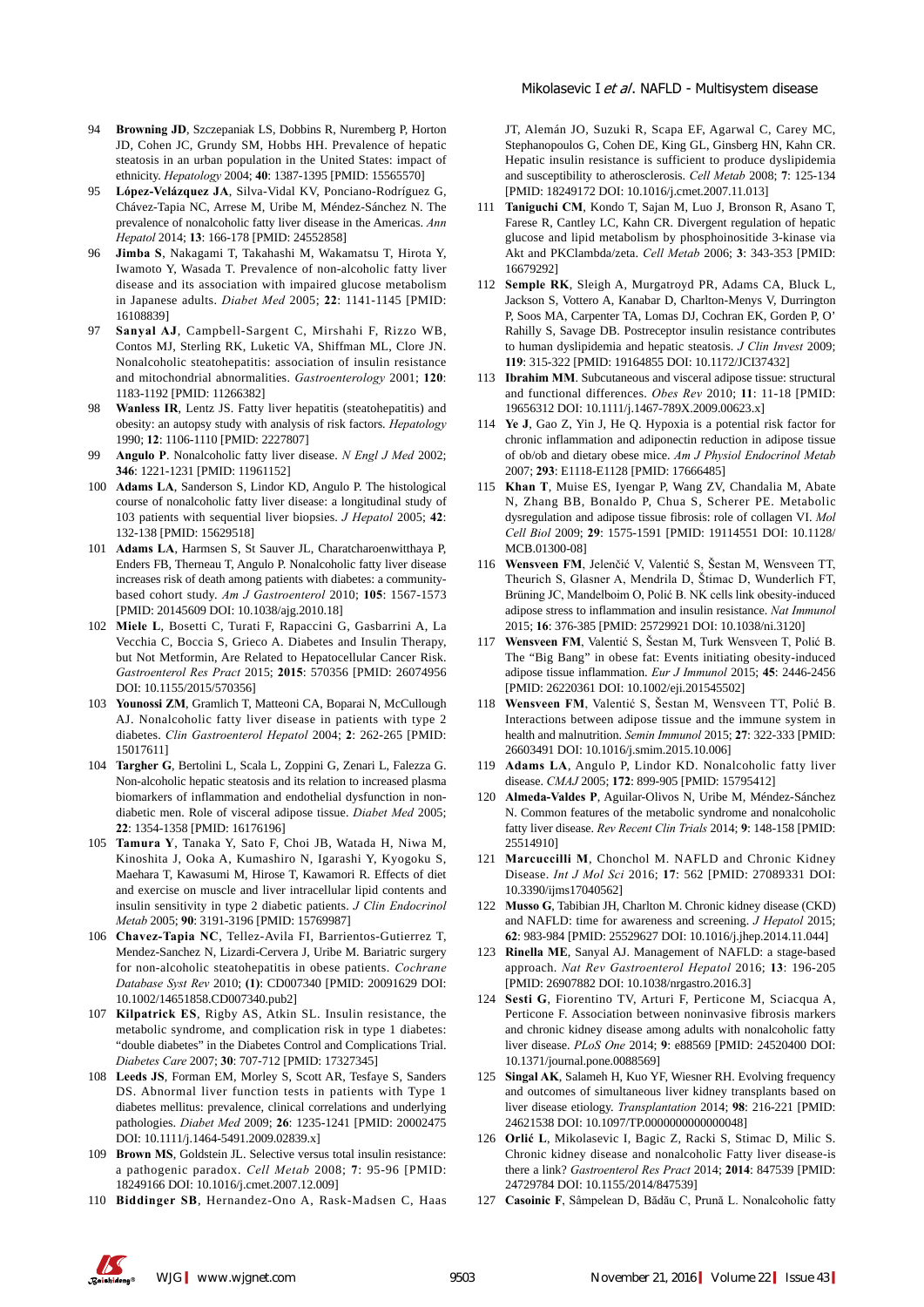- 94 **Browning JD**, Szczepaniak LS, Dobbins R, Nuremberg P, Horton JD, Cohen JC, Grundy SM, Hobbs HH. Prevalence of hepatic steatosis in an urban population in the United States: impact of ethnicity. *Hepatology* 2004; **40**: 1387-1395 [PMID: 15565570]
- 95 **López-Velázquez JA**, Silva-Vidal KV, Ponciano-Rodríguez G, Chávez-Tapia NC, Arrese M, Uribe M, Méndez-Sánchez N. The prevalence of nonalcoholic fatty liver disease in the Americas. *Ann Hepatol* 2014; **13**: 166-178 [PMID: 24552858]
- 96 **Jimba S**, Nakagami T, Takahashi M, Wakamatsu T, Hirota Y, Iwamoto Y, Wasada T. Prevalence of non-alcoholic fatty liver disease and its association with impaired glucose metabolism in Japanese adults. *Diabet Med* 2005; **22**: 1141-1145 [PMID: 16108839]
- 97 **Sanyal AJ**, Campbell-Sargent C, Mirshahi F, Rizzo WB, Contos MJ, Sterling RK, Luketic VA, Shiffman ML, Clore JN. Nonalcoholic steatohepatitis: association of insulin resistance and mitochondrial abnormalities. *Gastroenterology* 2001; **120**: 1183-1192 [PMID: 11266382]
- Wanless IR, Lentz JS. Fatty liver hepatitis (steatohepatitis) and obesity: an autopsy study with analysis of risk factors. *Hepatology* 1990; **12**: 1106-1110 [PMID: 2227807]
- 99 **Angulo P**. Nonalcoholic fatty liver disease. *N Engl J Med* 2002; **346**: 1221-1231 [PMID: 11961152]
- 100 **Adams LA**, Sanderson S, Lindor KD, Angulo P. The histological course of nonalcoholic fatty liver disease: a longitudinal study of 103 patients with sequential liver biopsies. *J Hepatol* 2005; **42**: 132-138 [PMID: 15629518]
- 101 **Adams LA**, Harmsen S, St Sauver JL, Charatcharoenwitthaya P, Enders FB, Therneau T, Angulo P. Nonalcoholic fatty liver disease increases risk of death among patients with diabetes: a communitybased cohort study. *Am J Gastroenterol* 2010; **105**: 1567-1573 [PMID: 20145609 DOI: 10.1038/ajg.2010.18]
- 102 **Miele L**, Bosetti C, Turati F, Rapaccini G, Gasbarrini A, La Vecchia C, Boccia S, Grieco A. Diabetes and Insulin Therapy, but Not Metformin, Are Related to Hepatocellular Cancer Risk. *Gastroenterol Res Pract* 2015; **2015**: 570356 [PMID: 26074956 DOI: 10.1155/2015/570356]
- 103 **Younossi ZM**, Gramlich T, Matteoni CA, Boparai N, McCullough AJ. Nonalcoholic fatty liver disease in patients with type 2 diabetes. *Clin Gastroenterol Hepatol* 2004; **2**: 262-265 [PMID: 15017611]
- 104 **Targher G**, Bertolini L, Scala L, Zoppini G, Zenari L, Falezza G. Non-alcoholic hepatic steatosis and its relation to increased plasma biomarkers of inflammation and endothelial dysfunction in nondiabetic men. Role of visceral adipose tissue. *Diabet Med* 2005; **22**: 1354-1358 [PMID: 16176196]
- 105 **Tamura Y**, Tanaka Y, Sato F, Choi JB, Watada H, Niwa M, Kinoshita J, Ooka A, Kumashiro N, Igarashi Y, Kyogoku S, Maehara T, Kawasumi M, Hirose T, Kawamori R. Effects of diet and exercise on muscle and liver intracellular lipid contents and insulin sensitivity in type 2 diabetic patients. *J Clin Endocrinol Metab* 2005; **90**: 3191-3196 [PMID: 15769987]
- 106 **Chavez-Tapia NC**, Tellez-Avila FI, Barrientos-Gutierrez T, Mendez-Sanchez N, Lizardi-Cervera J, Uribe M. Bariatric surgery for non-alcoholic steatohepatitis in obese patients. *Cochrane Database Syst Rev* 2010; **(1)**: CD007340 [PMID: 20091629 DOI: 10.1002/14651858.CD007340.pub2]
- 107 **Kilpatrick ES**, Rigby AS, Atkin SL. Insulin resistance, the metabolic syndrome, and complication risk in type 1 diabetes: "double diabetes" in the Diabetes Control and Complications Trial. *Diabetes Care* 2007; **30**: 707-712 [PMID: 17327345]
- 108 **Leeds JS**, Forman EM, Morley S, Scott AR, Tesfaye S, Sanders DS. Abnormal liver function tests in patients with Type 1 diabetes mellitus: prevalence, clinical correlations and underlying pathologies. *Diabet Med* 2009; **26**: 1235-1241 [PMID: 20002475 DOI: 10.1111/j.1464-5491.2009.02839.x]
- 109 **Brown MS**, Goldstein JL. Selective versus total insulin resistance: a pathogenic paradox. *Cell Metab* 2008; **7**: 95-96 [PMID: 18249166 DOI: 10.1016/j.cmet.2007.12.009]
- 110 **Biddinger SB**, Hernandez-Ono A, Rask-Madsen C, Haas

JT, Alemán JO, Suzuki R, Scapa EF, Agarwal C, Carey MC, Stephanopoulos G, Cohen DE, King GL, Ginsberg HN, Kahn CR. Hepatic insulin resistance is sufficient to produce dyslipidemia and susceptibility to atherosclerosis. *Cell Metab* 2008; **7**: 125-134 [PMID: 18249172 DOI: 10.1016/j.cmet.2007.11.013]

- 111 **Taniguchi CM**, Kondo T, Sajan M, Luo J, Bronson R, Asano T, Farese R, Cantley LC, Kahn CR. Divergent regulation of hepatic glucose and lipid metabolism by phosphoinositide 3-kinase via Akt and PKClambda/zeta. *Cell Metab* 2006; **3**: 343-353 [PMID: 16679292]
- 112 **Semple RK**, Sleigh A, Murgatroyd PR, Adams CA, Bluck L, Jackson S, Vottero A, Kanabar D, Charlton-Menys V, Durrington P, Soos MA, Carpenter TA, Lomas DJ, Cochran EK, Gorden P, O' Rahilly S, Savage DB. Postreceptor insulin resistance contributes to human dyslipidemia and hepatic steatosis. *J Clin Invest* 2009; **119**: 315-322 [PMID: 19164855 DOI: 10.1172/JCI37432]
- 113 **Ibrahim MM**. Subcutaneous and visceral adipose tissue: structural and functional differences. *Obes Rev* 2010; **11**: 11-18 [PMID: 19656312 DOI: 10.1111/j.1467-789X.2009.00623.x]
- 114 **Ye J**, Gao Z, Yin J, He Q. Hypoxia is a potential risk factor for chronic inflammation and adiponectin reduction in adipose tissue of ob/ob and dietary obese mice. *Am J Physiol Endocrinol Metab* 2007; **293**: E1118-E1128 [PMID: 17666485]
- 115 **Khan T**, Muise ES, Iyengar P, Wang ZV, Chandalia M, Abate N, Zhang BB, Bonaldo P, Chua S, Scherer PE. Metabolic dysregulation and adipose tissue fibrosis: role of collagen VI. *Mol Cell Biol* 2009; **29**: 1575-1591 [PMID: 19114551 DOI: 10.1128/ MCB.01300-08]
- 116 **Wensveen FM**, Jelenčić V, Valentić S, Šestan M, Wensveen TT, Theurich S, Glasner A, Mendrila D, Štimac D, Wunderlich FT, Brüning JC, Mandelboim O, Polić B. NK cells link obesity-induced adipose stress to inflammation and insulin resistance. *Nat Immunol* 2015; **16**: 376-385 [PMID: 25729921 DOI: 10.1038/ni.3120]
- 117 **Wensveen FM**, Valentić S, Šestan M, Turk Wensveen T, Polić B. The "Big Bang" in obese fat: Events initiating obesity-induced adipose tissue inflammation. *Eur J Immunol* 2015; **45**: 2446-2456 [PMID: 26220361 DOI: 10.1002/eji.201545502]
- 118 **Wensveen FM**, Valentić S, Šestan M, Wensveen TT, Polić B. Interactions between adipose tissue and the immune system in health and malnutrition. *Semin Immunol* 2015; **27**: 322-333 [PMID: 26603491 DOI: 10.1016/j.smim.2015.10.006]
- 119 **Adams LA**, Angulo P, Lindor KD. Nonalcoholic fatty liver disease. *CMAJ* 2005; **172**: 899-905 [PMID: 15795412]
- 120 **Almeda-Valdes P**, Aguilar-Olivos N, Uribe M, Méndez-Sánchez N. Common features of the metabolic syndrome and nonalcoholic fatty liver disease. *Rev Recent Clin Trials* 2014; **9**: 148-158 [PMID: 25514910]
- 121 **Marcuccilli M**, Chonchol M. NAFLD and Chronic Kidney Disease. *Int J Mol Sci* 2016; **17**: 562 [PMID: 27089331 DOI: 10.3390/ijms17040562]
- 122 **Musso G**, Tabibian JH, Charlton M. Chronic kidney disease (CKD) and NAFLD: time for awareness and screening. *J Hepatol* 2015; **62**: 983-984 [PMID: 25529627 DOI: 10.1016/j.jhep.2014.11.044]
- 123 **Rinella ME**, Sanyal AJ. Management of NAFLD: a stage-based approach. *Nat Rev Gastroenterol Hepatol* 2016; **13**: 196-205 [PMID: 26907882 DOI: 10.1038/nrgastro.2016.3]
- 124 **Sesti G**, Fiorentino TV, Arturi F, Perticone M, Sciacqua A, Perticone F. Association between noninvasive fibrosis markers and chronic kidney disease among adults with nonalcoholic fatty liver disease. *PLoS One* 2014; **9**: e88569 [PMID: 24520400 DOI: 10.1371/journal.pone.0088569]
- 125 **Singal AK**, Salameh H, Kuo YF, Wiesner RH. Evolving frequency and outcomes of simultaneous liver kidney transplants based on liver disease etiology. *Transplantation* 2014; **98**: 216-221 [PMID: 24621538 DOI: 10.1097/TP.0000000000000048]
- 126 **Orlić L**, Mikolasevic I, Bagic Z, Racki S, Stimac D, Milic S. Chronic kidney disease and nonalcoholic Fatty liver disease-is there a link? *Gastroenterol Res Pract* 2014; **2014**: 847539 [PMID: 24729784 DOI: 10.1155/2014/847539]
- 127 **Casoinic F**, Sâmpelean D, Bădău C, Prună L. Nonalcoholic fatty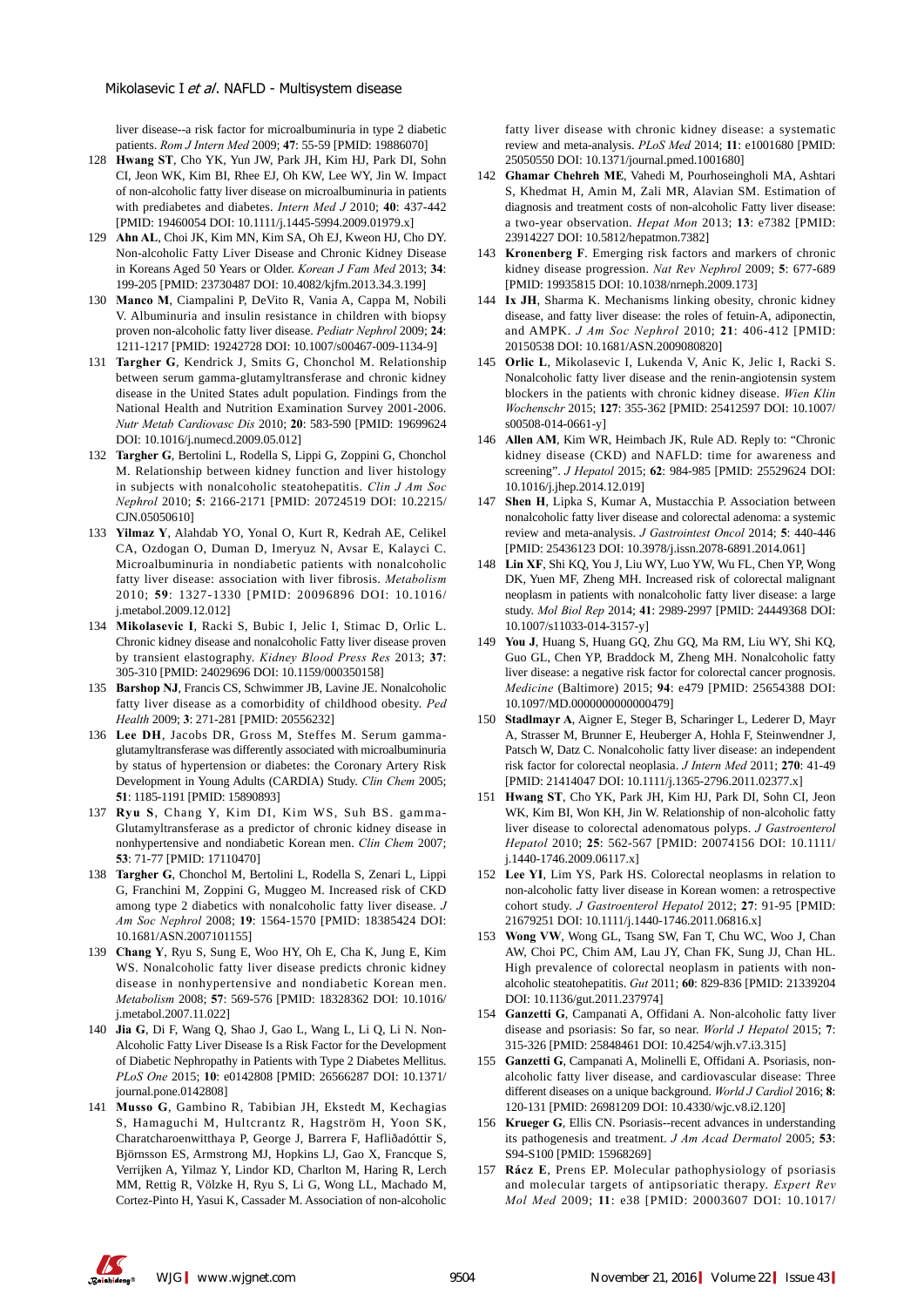liver disease--a risk factor for microalbuminuria in type 2 diabetic patients. *Rom J Intern Med* 2009; **47**: 55-59 [PMID: 19886070]

- 128 **Hwang ST**, Cho YK, Yun JW, Park JH, Kim HJ, Park DI, Sohn CI, Jeon WK, Kim BI, Rhee EJ, Oh KW, Lee WY, Jin W. Impact of non-alcoholic fatty liver disease on microalbuminuria in patients with prediabetes and diabetes. *Intern Med J* 2010; **40**: 437-442 [PMID: 19460054 DOI: 10.1111/j.1445-5994.2009.01979.x]
- 129 **Ahn AL**, Choi JK, Kim MN, Kim SA, Oh EJ, Kweon HJ, Cho DY. Non-alcoholic Fatty Liver Disease and Chronic Kidney Disease in Koreans Aged 50 Years or Older. *Korean J Fam Med* 2013; **34**: 199-205 [PMID: 23730487 DOI: 10.4082/kjfm.2013.34.3.199]
- 130 **Manco M**, Ciampalini P, DeVito R, Vania A, Cappa M, Nobili V. Albuminuria and insulin resistance in children with biopsy proven non-alcoholic fatty liver disease. *Pediatr Nephrol* 2009; **24**: 1211-1217 [PMID: 19242728 DOI: 10.1007/s00467-009-1134-9]
- 131 **Targher G**, Kendrick J, Smits G, Chonchol M. Relationship between serum gamma-glutamyltransferase and chronic kidney disease in the United States adult population. Findings from the National Health and Nutrition Examination Survey 2001-2006. *Nutr Metab Cardiovasc Dis* 2010; **20**: 583-590 [PMID: 19699624 DOI: 10.1016/j.numecd.2009.05.012]
- 132 **Targher G**, Bertolini L, Rodella S, Lippi G, Zoppini G, Chonchol M. Relationship between kidney function and liver histology in subjects with nonalcoholic steatohepatitis. *Clin J Am Soc Nephrol* 2010; **5**: 2166-2171 [PMID: 20724519 DOI: 10.2215/ CJN.05050610]
- 133 **Yilmaz Y**, Alahdab YO, Yonal O, Kurt R, Kedrah AE, Celikel CA, Ozdogan O, Duman D, Imeryuz N, Avsar E, Kalayci C. Microalbuminuria in nondiabetic patients with nonalcoholic fatty liver disease: association with liver fibrosis. *Metabolism* 2010; **59**: 1327-1330 [PMID: 20096896 DOI: 10.1016/ j.metabol.2009.12.012]
- 134 **Mikolasevic I**, Racki S, Bubic I, Jelic I, Stimac D, Orlic L. Chronic kidney disease and nonalcoholic Fatty liver disease proven by transient elastography. *Kidney Blood Press Res* 2013; **37**: 305-310 [PMID: 24029696 DOI: 10.1159/000350158]
- 135 **Barshop NJ**, Francis CS, Schwimmer JB, Lavine JE. Nonalcoholic fatty liver disease as a comorbidity of childhood obesity. *Ped Health* 2009; **3**: 271-281 [PMID: 20556232]
- 136 **Lee DH**, Jacobs DR, Gross M, Steffes M. Serum gammaglutamyltransferase was differently associated with microalbuminuria by status of hypertension or diabetes: the Coronary Artery Risk Development in Young Adults (CARDIA) Study. *Clin Chem* 2005; **51**: 1185-1191 [PMID: 15890893]
- 137 **Ryu S**, Chang Y, Kim DI, Kim WS, Suh BS. gamma-Glutamyltransferase as a predictor of chronic kidney disease in nonhypertensive and nondiabetic Korean men. *Clin Chem* 2007; **53**: 71-77 [PMID: 17110470]
- 138 **Targher G**, Chonchol M, Bertolini L, Rodella S, Zenari L, Lippi G, Franchini M, Zoppini G, Muggeo M. Increased risk of CKD among type 2 diabetics with nonalcoholic fatty liver disease. *J Am Soc Nephrol* 2008; **19**: 1564-1570 [PMID: 18385424 DOI: 10.1681/ASN.2007101155]
- 139 **Chang Y**, Ryu S, Sung E, Woo HY, Oh E, Cha K, Jung E, Kim WS. Nonalcoholic fatty liver disease predicts chronic kidney disease in nonhypertensive and nondiabetic Korean men. *Metabolism* 2008; **57**: 569-576 [PMID: 18328362 DOI: 10.1016/ j.metabol.2007.11.022]
- 140 **Jia G**, Di F, Wang Q, Shao J, Gao L, Wang L, Li Q, Li N. Non-Alcoholic Fatty Liver Disease Is a Risk Factor for the Development of Diabetic Nephropathy in Patients with Type 2 Diabetes Mellitus. *PLoS One* 2015; **10**: e0142808 [PMID: 26566287 DOI: 10.1371/ journal.pone.0142808]
- 141 **Musso G**, Gambino R, Tabibian JH, Ekstedt M, Kechagias S, Hamaguchi M, Hultcrantz R, Hagström H, Yoon SK, Charatcharoenwitthaya P, George J, Barrera F, Hafliðadóttir S, Björnsson ES, Armstrong MJ, Hopkins LJ, Gao X, Francque S, Verrijken A, Yilmaz Y, Lindor KD, Charlton M, Haring R, Lerch MM, Rettig R, Völzke H, Ryu S, Li G, Wong LL, Machado M, Cortez-Pinto H, Yasui K, Cassader M. Association of non-alcoholic

fatty liver disease with chronic kidney disease: a systematic review and meta-analysis. *PLoS Med* 2014; **11**: e1001680 [PMID: 25050550 DOI: 10.1371/journal.pmed.1001680]

- 142 **Ghamar Chehreh ME**, Vahedi M, Pourhoseingholi MA, Ashtari S, Khedmat H, Amin M, Zali MR, Alavian SM. Estimation of diagnosis and treatment costs of non-alcoholic Fatty liver disease: a two-year observation. *Hepat Mon* 2013; **13**: e7382 [PMID: 23914227 DOI: 10.5812/hepatmon.7382]
- 143 **Kronenberg F**. Emerging risk factors and markers of chronic kidney disease progression. *Nat Rev Nephrol* 2009; **5**: 677-689 [PMID: 19935815 DOI: 10.1038/nrneph.2009.173]
- 144 **Ix JH**, Sharma K. Mechanisms linking obesity, chronic kidney disease, and fatty liver disease: the roles of fetuin-A, adiponectin, and AMPK. *J Am Soc Nephrol* 2010; **21**: 406-412 [PMID: 20150538 DOI: 10.1681/ASN.2009080820]
- 145 **Orlic L**, Mikolasevic I, Lukenda V, Anic K, Jelic I, Racki S. Nonalcoholic fatty liver disease and the renin-angiotensin system blockers in the patients with chronic kidney disease. *Wien Klin Wochenschr* 2015; **127**: 355-362 [PMID: 25412597 DOI: 10.1007/ s00508-014-0661-y]
- 146 **Allen AM**, Kim WR, Heimbach JK, Rule AD. Reply to: "Chronic kidney disease (CKD) and NAFLD: time for awareness and screening". *J Hepatol* 2015; **62**: 984-985 [PMID: 25529624 DOI: 10.1016/j.jhep.2014.12.019]
- 147 **Shen H**, Lipka S, Kumar A, Mustacchia P. Association between nonalcoholic fatty liver disease and colorectal adenoma: a systemic review and meta-analysis. *J Gastrointest Oncol* 2014; **5**: 440-446 [PMID: 25436123 DOI: 10.3978/j.issn.2078-6891.2014.061]
- 148 **Lin XF**, Shi KQ, You J, Liu WY, Luo YW, Wu FL, Chen YP, Wong DK, Yuen MF, Zheng MH. Increased risk of colorectal malignant neoplasm in patients with nonalcoholic fatty liver disease: a large study. *Mol Biol Rep* 2014; **41**: 2989-2997 [PMID: 24449368 DOI: 10.1007/s11033-014-3157-y]
- 149 **You J**, Huang S, Huang GQ, Zhu GQ, Ma RM, Liu WY, Shi KQ, Guo GL, Chen YP, Braddock M, Zheng MH. Nonalcoholic fatty liver disease: a negative risk factor for colorectal cancer prognosis. *Medicine* (Baltimore) 2015; **94**: e479 [PMID: 25654388 DOI: 10.1097/MD.0000000000000479]
- 150 **Stadlmayr A**, Aigner E, Steger B, Scharinger L, Lederer D, Mayr A, Strasser M, Brunner E, Heuberger A, Hohla F, Steinwendner J, Patsch W, Datz C. Nonalcoholic fatty liver disease: an independent risk factor for colorectal neoplasia. *J Intern Med* 2011; **270**: 41-49 [PMID: 21414047 DOI: 10.1111/j.1365-2796.2011.02377.x]
- 151 **Hwang ST**, Cho YK, Park JH, Kim HJ, Park DI, Sohn CI, Jeon WK, Kim BI, Won KH, Jin W. Relationship of non-alcoholic fatty liver disease to colorectal adenomatous polyps. *J Gastroenterol Hepatol* 2010; **25**: 562-567 [PMID: 20074156 DOI: 10.1111/ j.1440-1746.2009.06117.x]
- 152 **Lee YI**, Lim YS, Park HS. Colorectal neoplasms in relation to non-alcoholic fatty liver disease in Korean women: a retrospective cohort study. *J Gastroenterol Hepatol* 2012; **27**: 91-95 [PMID: 21679251 DOI: 10.1111/j.1440-1746.2011.06816.x]
- 153 **Wong VW**, Wong GL, Tsang SW, Fan T, Chu WC, Woo J, Chan AW, Choi PC, Chim AM, Lau JY, Chan FK, Sung JJ, Chan HL. High prevalence of colorectal neoplasm in patients with nonalcoholic steatohepatitis. *Gut* 2011; **60**: 829-836 [PMID: 21339204 DOI: 10.1136/gut.2011.237974]
- 154 **Ganzetti G**, Campanati A, Offidani A. Non-alcoholic fatty liver disease and psoriasis: So far, so near. *World J Hepatol* 2015; **7**: 315-326 [PMID: 25848461 DOI: 10.4254/wjh.v7.i3.315]
- 155 **Ganzetti G**, Campanati A, Molinelli E, Offidani A. Psoriasis, nonalcoholic fatty liver disease, and cardiovascular disease: Three different diseases on a unique background. *World J Cardiol* 2016; **8**: 120-131 [PMID: 26981209 DOI: 10.4330/wjc.v8.i2.120]
- 156 **Krueger G**, Ellis CN. Psoriasis--recent advances in understanding its pathogenesis and treatment. *J Am Acad Dermatol* 2005; **53**: S94-S100 [PMID: 15968269]
- 157 **Rácz E**, Prens EP. Molecular pathophysiology of psoriasis and molecular targets of antipsoriatic therapy. *Expert Rev Mol Med* 2009; **11**: e38 [PMID: 20003607 DOI: 10.1017/